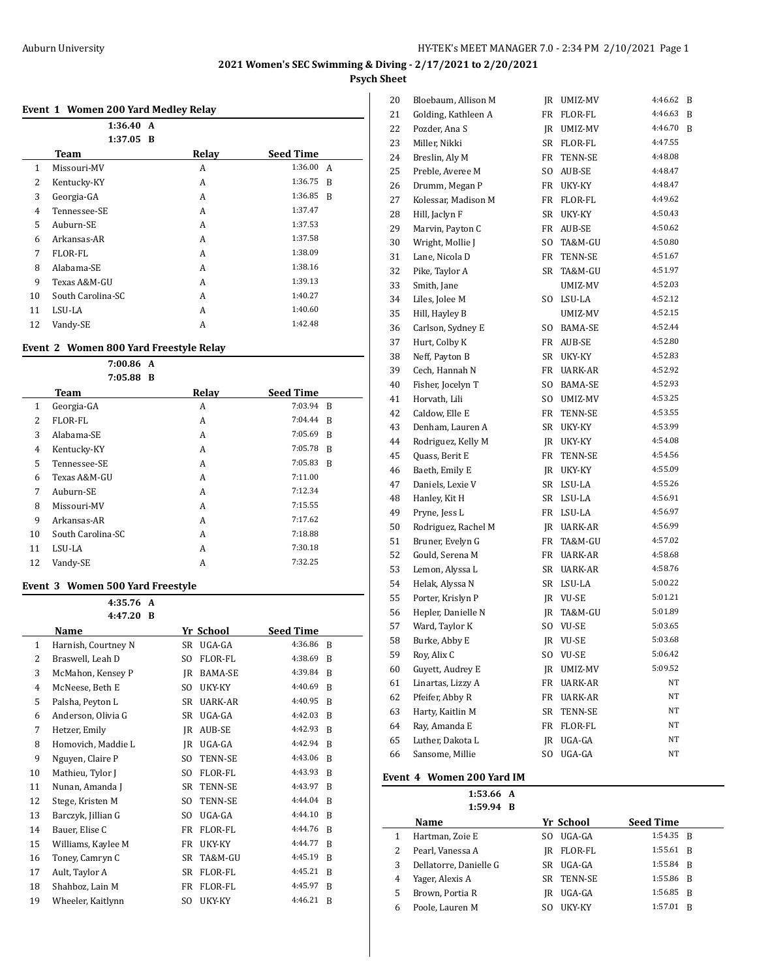### **Event 1 Women 200 Yard Medley Relay**

|    | 1:36.40<br>A<br>$1:37.05$ B |       |                  |
|----|-----------------------------|-------|------------------|
|    | Team                        | Relay | <b>Seed Time</b> |
| 1  | Missouri-MV                 | A     | 1:36.00 A        |
| 2  | Kentucky-KY                 | A     | 1:36.75 B        |
| 3  | Georgia-GA                  | A     | 1:36.85 B        |
| 4  | Tennessee-SE                | A     | 1:37.47          |
| 5  | Auburn-SE                   | A     | 1:37.53          |
| 6  | Arkansas-AR                 | A     | 1:37.58          |
| 7  | FLOR-FL                     | A     | 1:38.09          |
| 8  | Alabama-SE                  | A     | 1:38.16          |
| 9  | Texas A&M-GU                | A     | 1:39.13          |
| 10 | South Carolina-SC           | A     | 1:40.27          |
| 11 | LSU-LA                      | A     | 1:40.60          |
| 12 | Vandy-SE                    | A     | 1:42.48          |

## **Event 2 Women 800 Yard Freestyle Relay**

|    | 7:00.86 A<br>7:05.88 B |       |                  |  |
|----|------------------------|-------|------------------|--|
|    | Team                   | Relay | <b>Seed Time</b> |  |
| 1  | Georgia-GA             | A     | 7:03.94 B        |  |
| 2  | FLOR-FL                | A     | 7:04.44<br>R     |  |
| 3  | Alabama-SE             | A     | 7:05.69<br>R     |  |
| 4  | Kentucky-KY            | A     | 7:05.78<br>R     |  |
| 5  | Tennessee-SE           | A     | 7:05.83<br>R     |  |
| 6  | Texas A&M-GU           | A     | 7:11.00          |  |
| 7  | Auburn-SE              | A     | 7:12.34          |  |
| 8  | Missouri-MV            | A     | 7:15.55          |  |
| 9  | Arkansas-AR            | A     | 7:17.62          |  |
| 10 | South Carolina-SC      | A     | 7:18.88          |  |
| 11 | LSU-LA                 | A     | 7:30.18          |  |
| 12 | Vandy-SE               | A     | 7:32.25          |  |

#### **Event 3 Women 500 Yard Freestyle**

|    | 4:35.76<br>A        |                |                |                  |   |
|----|---------------------|----------------|----------------|------------------|---|
|    | 4:47.20<br>B        |                |                |                  |   |
|    | Name                |                | Yr School      | <b>Seed Time</b> |   |
| 1  | Harnish, Courtney N | SR             | UGA-GA         | 4:36.86          | R |
| 2  | Braswell, Leah D    | S <sub>O</sub> | FLOR-FL        | 4:38.69          | B |
| 3  | McMahon, Kensey P   | JR             | <b>BAMA-SE</b> | 4:39.84          | B |
| 4  | McNeese, Beth E     | SO.            | UKY-KY         | 4:40.69          | R |
| 5  | Palsha, Peyton L    | SR             | UARK-AR        | 4:40.95          | B |
| 6  | Anderson, Olivia G  | <b>SR</b>      | UGA-GA         | 4:42.03          | B |
| 7  | Hetzer, Emily       | JR             | AUB-SE         | 4:42.93          | B |
| 8  | Homovich, Maddie L  | JR.            | UGA-GA         | 4:42.94          | B |
| 9  | Nguyen, Claire P    | SO.            | TENN-SE        | 4:43.06          | R |
| 10 | Mathieu, Tylor J    | SO.            | FLOR-FL        | 4:43.93          | B |
| 11 | Nunan, Amanda J     | <b>SR</b>      | <b>TENN-SE</b> | 4:43.97          | R |
| 12 | Stege, Kristen M    | SO.            | TENN-SE        | 4:44.04          | B |
| 13 | Barczyk, Jillian G  | SO.            | UGA-GA         | 4:44.10          | R |
| 14 | Bauer, Elise C      | FR             | FLOR-FL        | 4:44.76          | B |
| 15 | Williams, Kaylee M  | FR             | UKY-KY         | 4:44.77          | B |
| 16 | Toney, Camryn C     | <b>SR</b>      | TA&M-GU        | 4:45.19          | R |
| 17 | Ault, Taylor A      | <b>SR</b>      | FLOR-FL        | 4:45.21          | B |
| 18 | Shahboz, Lain M     | FR             | FLOR-FL        | 4:45.97          | R |
| 19 | Wheeler, Kaitlynn   | SO.            | UKY-KY         | 4:46.21          | B |

| 20 | Bloebaum, Allison M | JR  | UMIZ-MV        | 4:46.62 | B |
|----|---------------------|-----|----------------|---------|---|
| 21 | Golding, Kathleen A | FR  | FLOR-FL        | 4:46.63 | B |
| 22 | Pozder, Ana S       | JR  | UMIZ-MV        | 4:46.70 | B |
| 23 | Miller, Nikki       | SR  | FLOR-FL        | 4:47.55 |   |
| 24 | Breslin, Aly M      | FR  | TENN-SE        | 4:48.08 |   |
| 25 | Preble, Averee M    | SO. | AUB-SE         | 4:48.47 |   |
| 26 | Drumm, Megan P      | FR  | UKY-KY         | 4:48.47 |   |
| 27 | Kolessar, Madison M | FR  | FLOR-FL        | 4:49.62 |   |
| 28 | Hill, Jaclyn F      | SR  | UKY-KY         | 4:50.43 |   |
| 29 | Marvin, Payton C    | FR  | AUB-SE         | 4:50.62 |   |
| 30 | Wright, Mollie J    | SO  | TA&M-GU        | 4:50.80 |   |
| 31 | Lane, Nicola D      | FR  | TENN-SE        | 4:51.67 |   |
| 32 | Pike, Taylor A      | SR  | TA&M-GU        | 4:51.97 |   |
| 33 | Smith, Jane         |     | UMIZ-MV        | 4:52.03 |   |
| 34 | Liles, Jolee M      | SO. | LSU-LA         | 4:52.12 |   |
| 35 | Hill, Hayley B      |     | UMIZ-MV        | 4:52.15 |   |
| 36 | Carlson, Sydney E   | SO. | BAMA-SE        | 4:52.44 |   |
| 37 | Hurt, Colby K       | FR  | AUB-SE         | 4:52.80 |   |
| 38 | Neff, Payton B      | SR  | UKY-KY         | 4:52.83 |   |
| 39 | Cech, Hannah N      | FR  | UARK-AR        | 4:52.92 |   |
| 40 | Fisher, Jocelyn T   | SO. | BAMA-SE        | 4:52.93 |   |
| 41 | Horvath, Lili       | SO. | UMIZ-MV        | 4:53.25 |   |
| 42 | Caldow, Elle E      | FR  | TENN-SE        | 4:53.55 |   |
| 43 | Denham, Lauren A    | SR  | UKY-KY         | 4:53.99 |   |
| 44 | Rodriguez, Kelly M  | JR  | UKY-KY         | 4:54.08 |   |
| 45 | Quass, Berit E      | FR  | TENN-SE        | 4:54.56 |   |
| 46 | Baeth, Emily E      | JR  | UKY-KY         | 4:55.09 |   |
| 47 | Daniels, Lexie V    | SR  | LSU-LA         | 4:55.26 |   |
| 48 | Hanley, Kit H       | SR  | LSU-LA         | 4:56.91 |   |
| 49 | Pryne, Jess L       | FR  | LSU-LA         | 4:56.97 |   |
| 50 | Rodriguez, Rachel M | JR  | UARK-AR        | 4:56.99 |   |
| 51 | Bruner, Evelyn G    | FR  | TA&M-GU        | 4:57.02 |   |
| 52 | Gould, Serena M     | FR  | UARK-AR        | 4:58.68 |   |
| 53 | Lemon, Alyssa L     | SR  | UARK-AR        | 4:58.76 |   |
| 54 | Helak, Alyssa N     | SR  | LSU-LA         | 5:00.22 |   |
| 55 | Porter, Krislyn P   | JR  | VU-SE          | 5:01.21 |   |
| 56 | Hepler, Danielle N  | JR  | TA&M-GU        | 5:01.89 |   |
| 57 | Ward, Taylor K      | SO. | VU-SE          | 5:03.65 |   |
| 58 | Burke, Abby E       | JR  | <b>VU-SE</b>   | 5:03.68 |   |
| 59 | Roy, Alix C         | SO. | VU-SE          | 5:06.42 |   |
| 60 | Guvett, Audrey E    | JR  | UMIZ-MV        | 5:09.52 |   |
| 61 | Linartas, Lizzy A   | FR  | <b>UARK-AR</b> | NΤ      |   |
| 62 | Pfeifer, Abby R     | FR  | UARK-AR        | NΤ      |   |
| 63 | Harty, Kaitlin M    | SR  | TENN-SE        | NΤ      |   |
| 64 | Ray, Amanda E       | FR  | FLOR-FL        | NΤ      |   |
| 65 | Luther, Dakota L    | JR  | UGA-GA         | NΤ      |   |
| 66 | Sansome, Millie     | SO. | UGA-GA         | NT      |   |

#### **Event 4 Women 200 Yard IM**

 $\frac{1}{2}$ 

|   | 1:53.66 A<br>$1:59.94$ B |     |            |                  |                |
|---|--------------------------|-----|------------|------------------|----------------|
|   | <b>Name</b>              |     | Yr School  | <b>Seed Time</b> |                |
| 1 | Hartman, Zoie E          | SO. | UGA-GA     | 1:54.35 B        |                |
| 2 | Pearl, Vanessa A         | IR  | FLOR-FL    | $1:55.61$ B      |                |
| 3 | Dellatorre, Danielle G   | SR. | UGA-GA     | 1:55.84 R        |                |
| 4 | Yager, Alexis A          |     | SR TENN-SE | 1:55.86 B        |                |
| 5 | Brown, Portia R          | IR  | UGA-GA     | 1:56.85          | $\overline{B}$ |
| 6 | Poole, Lauren M          | SO. | UKY-KY     | 1:57.01          | R              |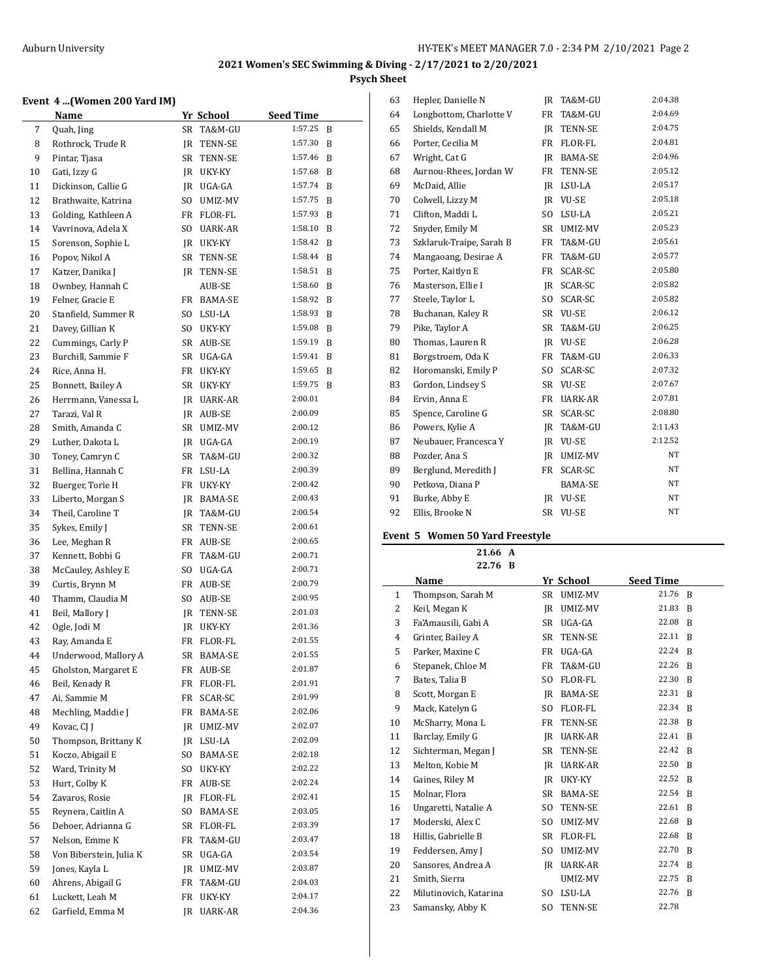# **Event 4 ...(Women 200 Yard IM)**

|    | Name                    |      | Yr School     | <b>Seed Time</b> |   |
|----|-------------------------|------|---------------|------------------|---|
| 7  | Quah, Jing              | SR   | TA&M-GU       | 1:57.25          | B |
| 8  | Rothrock, Trude R       | JR   | TENN-SE       | 1:57.30          | B |
| 9  | Pintar, Tjasa           | SR   | TENN-SE       | 1:57.46          | B |
| 10 | Gati, Izzy G            |      | JR UKY-KY     | 1:57.68          | B |
| 11 | Dickinson, Callie G     |      | IR UGA-GA     | 1:57.74          | B |
| 12 | Brathwaite, Katrina     |      | SO UMIZ-MV    | 1:57.75          | B |
| 13 | Golding, Kathleen A     |      | FR FLOR-FL    | 1:57.93          | B |
| 14 | Vavrinova, Adela X      | SO.  | UARK-AR       | 1:58.10          | B |
| 15 | Sorenson, Sophie L      |      | JR UKY-KY     | 1:58.42          | B |
| 16 | Popov, Nikol A          | SR   | TENN-SE       | 1:58.44          | B |
| 17 | Katzer, Danika J        |      | JR TENN-SE    | 1:58.51          | B |
| 18 | Ownbey, Hannah C        |      | <b>AUB-SE</b> | 1:58.60          | B |
| 19 | Felner, Gracie E        |      | FR BAMA-SE    | 1:58.92          | B |
| 20 | Stanfield, Summer R     |      | SO LSU-LA     | 1:58.93          | B |
| 21 | Davey, Gillian K        | SO - | UKY-KY        | 1:59.08          | B |
| 22 | Cummings, Carly P       |      | SR AUB-SE     | 1:59.19          | B |
| 23 | Burchill, Sammie F      |      | SR UGA-GA     | 1:59.41          | B |
| 24 | Rice, Anna H.           |      | FR UKY-KY     | 1:59.65          | B |
| 25 | Bonnett, Bailey A       | SR   | UKY-KY        | 1:59.75          | B |
| 26 | Herrmann, Vanessa L     |      | JR UARK-AR    | 2:00.01          |   |
| 27 | Tarazi, Val R           |      | JR AUB-SE     | 2:00.09          |   |
| 28 | Smith, Amanda C         | SR   | UMIZ-MV       | 2:00.12          |   |
| 29 | Luther, Dakota L        |      | JR UGA-GA     | 2:00.19          |   |
| 30 | Toney, Camryn C         | SR   | TA&M-GU       | 2:00.32          |   |
| 31 | Bellina, Hannah C       |      | FR LSU-LA     | 2:00.39          |   |
| 32 | Buerger, Torie H        | FR   | UKY-KY        | 2:00.42          |   |
| 33 | Liberto, Morgan S       |      | JR BAMA-SE    | 2:00.43          |   |
| 34 | Theil, Caroline T       |      | JR TA&M-GU    | 2:00.54          |   |
| 35 | Sykes, Emily J          |      | SR TENN-SE    | 2:00.61          |   |
| 36 | Lee, Meghan R           |      | FR AUB-SE     | 2:00.65          |   |
| 37 | Kennett, Bobbi G        | FR   | TA&M-GU       | 2:00.71          |   |
| 38 | McCauley, Ashley E      | SO.  | UGA-GA        | 2:00.71          |   |
| 39 | Curtis, Brynn M         |      | FR AUB-SE     | 2:00.79          |   |
| 40 | Thamm, Claudia M        | SO   | AUB-SE        | 2:00.95          |   |
| 41 | Beil, Mallory J         | JR   | TENN-SE       | 2:01.03          |   |
| 42 | Ogle, Jodi M            | JR   | UKY-KY        | 2:01.36          |   |
| 43 | Ray, Amanda E           | FR   | FLOR-FL       | 2:01.55          |   |
| 44 | Underwood, Mallory A    | SR   | BAMA-SE       | 2:01.55          |   |
| 45 | Gholston, Margaret E    | FR   | AUB-SE        | 2:01.87          |   |
| 46 | Beil, Kenady R          | FR   | FLOR-FL       | 2:01.91          |   |
| 47 | Ai, Sammie M            | FR   | SCAR-SC       | 2:01.99          |   |
| 48 | Mechling, Maddie J      | FR   | BAMA-SE       | 2:02.06          |   |
| 49 | Kovac, CJ J             | JR   | UMIZ-MV       | 2:02.07          |   |
| 50 | Thompson, Brittany K    |      | JR LSU-LA     | 2:02.09          |   |
| 51 | Koczo, Abigail E        | SO.  | BAMA-SE       | 2:02.18          |   |
| 52 | Ward, Trinity M         | SO.  | UKY-KY        | 2:02.22          |   |
| 53 | Hurt, Colby K           | FR   | AUB-SE        | 2:02.24          |   |
| 54 | Zavaros, Rosie          | JR   | FLOR-FL       | 2:02.41          |   |
| 55 | Reynera, Caitlin A      | SO   | BAMA-SE       | 2:03.05          |   |
| 56 | Deboer, Adrianna G      | SR   | FLOR-FL       | 2:03.39          |   |
| 57 | Nelson, Emme K          | FR   | TA&M-GU       | 2:03.47          |   |
| 58 | Von Biberstein, Julia K | SR   | UGA-GA        | 2:03.54          |   |
| 59 | Jones, Kayla L          | JR   | UMIZ-MV       | 2:03.87          |   |
| 60 | Ahrens, Abigail G       | FR   | TA&M-GU       | 2:04.03          |   |
| 61 | Luckett, Leah M         | FR   | UKY-KY        | 2:04.17          |   |
| 62 | Garfield, Emma M        | JR   | UARK-AR       | 2:04.36          |   |

| 63 | Hepler, Danielle N       | IR        | TA&M-GU        | 2:04.38 |
|----|--------------------------|-----------|----------------|---------|
| 64 | Longbottom, Charlotte V  | FR        | TA&M-GU        | 2:04.69 |
| 65 | Shields, Kendall M       | IR        | TENN-SE        | 2:04.75 |
| 66 | Porter, Cecilia M        | FR        | FLOR-FL        | 2:04.81 |
| 67 | Wright, Cat G            | IR        | BAMA-SE        | 2:04.96 |
| 68 | Aurnou-Rhees, Jordan W   | FR        | TENN-SE        | 2:05.12 |
| 69 | McDaid, Allie            | IR        | LSU-LA         | 2:05.17 |
| 70 | Colwell, Lizzy M         | IR        | <b>VU-SE</b>   | 2:05.18 |
| 71 | Clifton, Maddi L         | SO.       | LSU-LA         | 2:05.21 |
| 72 | Snyder, Emily M          | SR.       | UMIZ-MV        | 2:05.23 |
| 73 | Szklaruk-Traipe, Sarah B | FR        | TA&M-GU        | 2:05.61 |
| 74 | Mangaoang, Desirae A     | FR        | TA&M-GU        | 2:05.77 |
| 75 | Porter, Kaitlyn E        | FR        | SCAR-SC        | 2:05.80 |
| 76 | Masterson, Ellie I       | IR        | SCAR-SC        | 2:05.82 |
| 77 | Steele, Taylor L         | SO.       | SCAR-SC        | 2:05.82 |
| 78 | Buchanan, Kaley R        |           | SR VU-SE       | 2:06.12 |
| 79 | Pike, Taylor A           | SR.       | TA&M-GU        | 2:06.25 |
| 80 | Thomas, Lauren R         |           | JR VU-SE       | 2:06.28 |
| 81 | Borgstroem, Oda K        | FR        | TA&M-GU        | 2:06.33 |
| 82 | Horomanski, Emily P      | SO.       | SCAR-SC        | 2:07.32 |
| 83 | Gordon, Lindsey S        | SR -      | <b>VU-SE</b>   | 2:07.67 |
| 84 | Ervin, Anna E            | FR        | UARK-AR        | 2:07.81 |
| 85 | Spence, Caroline G       | SR        | SCAR-SC        | 2:08.80 |
| 86 | Powers, Kylie A          | IR        | TA&M-GU        | 2:11.43 |
| 87 | Neubauer, Francesca Y    |           | IR VU-SE       | 2:12.52 |
| 88 | Pozder, Ana S            | IR        | UMIZ-MV        | NT      |
| 89 | Berglund, Meredith J     | FR        | SCAR-SC        | NT      |
| 90 | Petkova, Diana P         |           | <b>BAMA-SE</b> | NT      |
| 91 | Burke, Abby E            | IR        | <b>VU-SE</b>   | NT      |
| 92 | Ellis, Brooke N          | <b>SR</b> | <b>VU-SE</b>   | NT      |
|    |                          |           |                |         |

# **Event 5 Women 50 Yard Freestyle**

**21.66 A**

|              | 22.76 B                |                |                |                  |                |
|--------------|------------------------|----------------|----------------|------------------|----------------|
|              | Name                   |                | Yr School      | <b>Seed Time</b> |                |
| $\mathbf{1}$ | Thompson, Sarah M      |                | SR UMIZ-MV     | 21.76 B          |                |
| 2            | Keil, Megan K          | IR             | UMIZ-MV        | 21.83            | <sup>B</sup>   |
| 3            | Fa'Amausili, Gabi A    | SR             | UGA-GA         | 22.08 B          |                |
| 4            | Grinter, Bailey A      | SR             | TENN-SE        | 22.11 B          |                |
| 5            | Parker, Maxine C       | FR             | UGA-GA         | 22.24 B          |                |
| 6            | Stepanek, Chloe M      | <b>FR</b>      | TA&M-GU        | 22.26 B          |                |
| 7            | Bates, Talia B         | S <sub>O</sub> | FLOR-FL        | 22.30 B          |                |
| 8            | Scott, Morgan E        | <b>IR</b>      | BAMA-SE        | 22.31 B          |                |
| 9            | Mack, Katelyn G        | S <sub>0</sub> | FLOR-FL        | 22.34 B          |                |
| 10           | McSharry, Mona L       | <b>FR</b>      | TENN-SE        | 22.38 B          |                |
| 11           | Barclay, Emily G       | IR.            | UARK-AR        | 22.41 B          |                |
| 12           | Sichterman, Megan J    | <b>SR</b>      | TENN-SE        | 22.42 B          |                |
| 13           | Melton, Kobie M        | IR             | UARK-AR        | 22.50            | B              |
| 14           | Gaines, Riley M        | IR             | UKY-KY         | 22.52            | B              |
| 15           | Molnar, Flora          | <b>SR</b>      | BAMA-SE        | 22.54            | - B            |
| 16           | Ungaretti, Natalie A   | S <sub>O</sub> | TENN-SE        | 22.61            | B              |
| 17           | Moderski, Alex C       | SO.            | UMIZ-MV        | 22.68            | B              |
| 18           | Hillis, Gabrielle B    | <b>SR</b>      | FLOR-FL        | 22.68            | B              |
| 19           | Feddersen, Amy J       | SO.            | UMIZ-MV        | 22.70            | B              |
| 20           | Sansores, Andrea A     | IR             | UARK-AR        | 22.74            | R              |
| 21           | Smith, Sierra          |                | UMIZ-MV        | 22.75            | B              |
| 22           | Milutinovich, Katarina | SO.            | LSU-LA         | 22.76            | $\overline{B}$ |
| 23           | Samansky, Abby K       | SO.            | <b>TENN-SE</b> | 22.78            |                |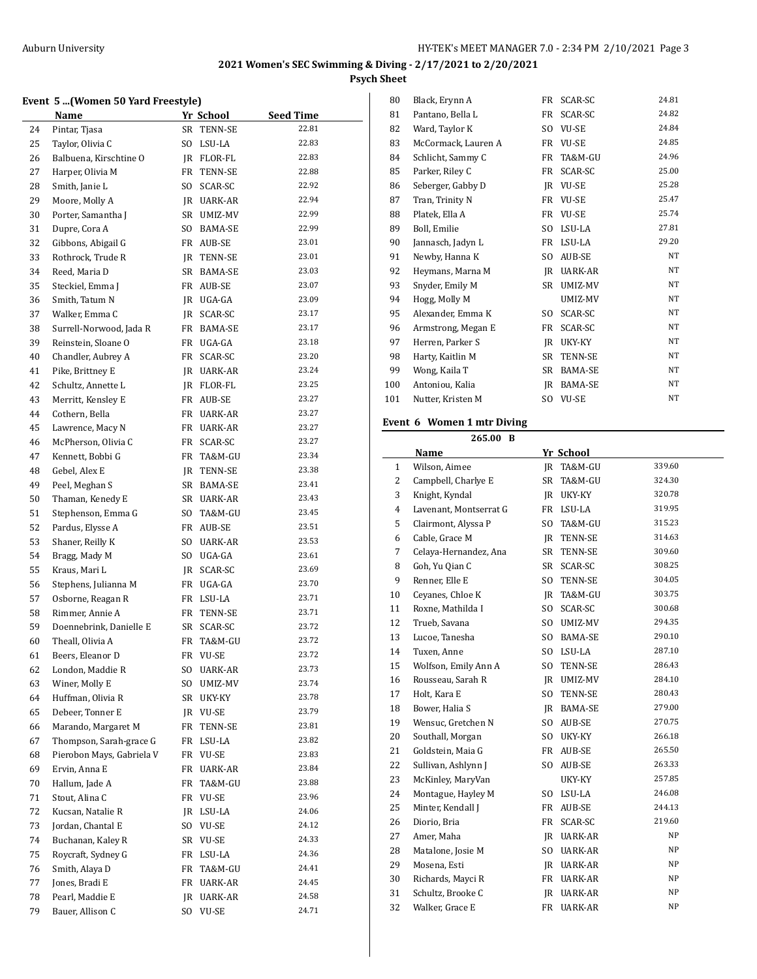#### **Event 5 ...(Women 50 Yard Freestyle)**

|          | $\sigma$ m, romen by rara rreescyle<br><b>Name</b> |     | <u>Yr School</u>        | <b>Seed Time</b> |
|----------|----------------------------------------------------|-----|-------------------------|------------------|
| 24       | Pintar, Tjasa                                      |     | SR TENN-SE              | 22.81            |
| 25       | Taylor, Olivia C                                   | SO. | LSU-LA                  | 22.83            |
| 26       | Balbuena, Kirschtine O                             |     | JR FLOR-FL              | 22.83            |
| 27       | Harper, Olivia M                                   | FR  | TENN-SE                 | 22.88            |
| 28       | Smith, Janie L                                     | SO. | SCAR-SC                 | 22.92            |
| 29       | Moore, Molly A                                     |     | JR UARK-AR              | 22.94            |
| 30       | Porter, Samantha J                                 |     | SR UMIZ-MV              | 22.99            |
| 31       | Dupre, Cora A                                      | SO. | BAMA-SE                 | 22.99            |
| 32       | Gibbons, Abigail G                                 |     | FR AUB-SE               | 23.01            |
| 33       | Rothrock, Trude R                                  |     | JR TENN-SE              | 23.01            |
| 34       | Reed, Maria D                                      | SR  | BAMA-SE                 | 23.03            |
| 35       | Steckiel, Emma J                                   | FR  | AUB-SE                  | 23.07            |
| 36       | Smith, Tatum N                                     |     | JR UGA-GA               | 23.09            |
| 37       | Walker, Emma C                                     |     | JR SCAR-SC              | 23.17            |
| 38       | Surrell-Norwood, Jada R                            |     | FR BAMA-SE              | 23.17            |
| 39       | Reinstein, Sloane O                                | FR  | UGA-GA                  | 23.18            |
| 40       | Chandler, Aubrey A                                 | FR  | SCAR-SC                 | 23.20            |
| 41       | Pike, Brittney E                                   |     | JR UARK-AR              | 23.24            |
| 42       | Schultz, Annette L                                 |     | JR FLOR-FL              | 23.25            |
| 43       | Merritt, Kensley E                                 |     | FR AUB-SE               | 23.27            |
| 44       | Cothern, Bella                                     | FR  | UARK-AR                 | 23.27            |
| 45       | Lawrence, Macy N                                   | FR  | UARK-AR                 | 23.27            |
| 46       | McPherson, Olivia C                                | FR  | SCAR-SC                 | 23.27            |
| 47       | Kennett, Bobbi G                                   | FR  | TA&M-GU                 | 23.34            |
|          |                                                    |     |                         | 23.38            |
| 48       | Gebel, Alex E                                      |     | JR TENN-SE              | 23.41            |
| 49       | Peel, Meghan S                                     |     | SR BAMA-SE              | 23.43            |
| 50       | Thaman, Kenedy E                                   | SR  | UARK-AR                 | 23.45            |
| 51       | Stephenson, Emma G                                 | SO  | TA&M-GU                 | 23.51            |
| 52       | Pardus, Elysse A                                   |     | FR AUB-SE               | 23.53            |
| 53       | Shaner, Reilly K                                   | SO. | UARK-AR                 | 23.61            |
| 54<br>55 | Bragg, Mady M<br>Kraus, Mari L                     |     | SO UGA-GA               | 23.69            |
|          | Stephens, Julianna M                               |     | JR SCAR-SC<br>FR UGA-GA | 23.70            |
| 56       |                                                    |     | FR LSU-LA               | 23.71            |
| 57<br>58 | Osborne, Reagan R<br>Rimmer, Annie A               | FR  | TENN-SE                 | 23.71            |
| 59       | Doennebrink, Danielle E                            | SR  | SCAR-SC                 | 23.72            |
| 60       | Theall, Olivia A                                   | FR  | TA&M-GU                 | 23.72            |
| 61       | Beers, Eleanor D                                   | FR  | VU-SE                   | 23.72            |
| 62       | London, Maddie R                                   | SO  | UARK-AR                 | 23.73            |
| 63       | Winer, Molly E                                     | SO. | UMIZ-MV                 | 23.74            |
| 64       | Huffman, Olivia R                                  | SR  | UKY-KY                  | 23.78            |
| 65       | Debeer, Tonner E                                   | JR  | VU-SE                   | 23.79            |
| 66       | Marando, Margaret M                                | FR  | TENN-SE                 | 23.81            |
| 67       | Thompson, Sarah-grace G                            | FR  | LSU-LA                  | 23.82            |
| 68       | Pierobon Mays, Gabriela V                          | FR  | VU-SE                   | 23.83            |
| 69       | Ervin, Anna E                                      | FR  | <b>UARK-AR</b>          | 23.84            |
| 70       | Hallum, Jade A                                     | FR  | TA&M-GU                 | 23.88            |
| 71       | Stout, Alina C                                     | FR  | VU-SE                   | 23.96            |
| 72       | Kucsan, Natalie R                                  | JR  | LSU-LA                  | 24.06            |
| 73       | Jordan, Chantal E                                  | SO. | VU-SE                   | 24.12            |
| 74       | Buchanan, Kaley R                                  | SR  | VU-SE                   | 24.33            |
| 75       | Roycraft, Sydney G                                 | FR  | LSU-LA                  | 24.36            |
| 76       | Smith, Alaya D                                     | FR  | TA&M-GU                 | 24.41            |
| 77       | Jones, Bradi E                                     | FR  | UARK-AR                 | 24.45            |
| 78       | Pearl, Maddie E                                    | JR  | UARK-AR                 | 24.58            |
| 79       | Bauer, Allison C                                   | SO. | VU-SE                   | 24.71            |
|          |                                                    |     |                         |                  |

| 80  | Black, Erynn A      | FR             | SCAR-SC        | 24.81     |
|-----|---------------------|----------------|----------------|-----------|
| 81  | Pantano, Bella L    | FR             | SCAR-SC        | 24.82     |
| 82  | Ward, Taylor K      | S <sub>O</sub> | VU-SE          | 24.84     |
| 83  | McCormack, Lauren A | FR             | VU-SE          | 24.85     |
| 84  | Schlicht, Sammy C   | FR             | TA&M-GU        | 24.96     |
| 85  | Parker, Riley C     | FR             | SCAR-SC        | 25.00     |
| 86  | Seberger, Gabby D   | IR             | VU-SE          | 25.28     |
| 87  | Tran, Trinity N     | FR             | VU-SE          | 25.47     |
| 88  | Platek, Ella A      | FR             | VU-SE          | 25.74     |
| 89  | Boll, Emilie        | S <sub>O</sub> | LSU-LA         | 27.81     |
| 90  | Jannasch, Jadyn L   | FR             | LSU-LA         | 29.20     |
| 91  | Newby, Hanna K      | S <sub>O</sub> | AUB-SE         | NT        |
| 92  | Heymans, Marna M    | JR             | <b>UARK-AR</b> | NT        |
| 93  | Snyder, Emily M     | SR             | UMIZ-MV        | NT        |
| 94  | Hogg, Molly M       |                | UMIZ-MV        | <b>NT</b> |
| 95  | Alexander, Emma K   | S <sub>O</sub> | SCAR-SC        | NT        |
| 96  | Armstrong, Megan E  | FR             | SCAR-SC        | NT        |
| 97  | Herren, Parker S    | JR             | UKY-KY         | NT        |
| 98  | Harty, Kaitlin M    | SR             | TENN-SE        | NT        |
| 99  | Wong, Kaila T       | SR             | <b>BAMA-SE</b> | NT        |
| 100 | Antoniou, Kalia     | IR             | BAMA-SE        | NT        |
| 101 | Nutter, Kristen M   | S <sub>O</sub> | VU-SE          | NT        |
|     |                     |                |                |           |

## **Event 6 Women 1 mtr Diving**

|                | 265.00 B               |                |                   |        |
|----------------|------------------------|----------------|-------------------|--------|
|                | Name                   |                | Yr School         |        |
| $\mathbf{1}$   | Wilson, Aimee          |                | JR TA&M-GU        | 339.60 |
| 2              | Campbell, Charlye E    | SR             | TA&M-GU           | 324.30 |
| 3              | Knight, Kyndal         | IR             | UKY-KY            | 320.78 |
| $\overline{4}$ | Lavenant, Montserrat G | FR             | LSU-LA            | 319.95 |
| 5              | Clairmont, Alyssa P    | SO.            | TA&M-GU           | 315.23 |
| 6              | Cable, Grace M         | IR             | TENN-SE           | 314.63 |
| 7              | Celaya-Hernandez, Ana  | SR             | <b>TENN-SE</b>    | 309.60 |
| 8              | Goh, Yu Qian C         | SR             | SCAR-SC           | 308.25 |
| 9              | Renner, Elle E         | SO.            | TENN-SE           | 304.05 |
| 10             | Ceyanes, Chloe K       |                | IR TA&M-GU        | 303.75 |
| 11             | Roxne, Mathilda I      | SO.            | SCAR-SC           | 300.68 |
| 12             | Trueb, Savana          | SO.            | UMIZ-MV           | 294.35 |
| 13             | Lucoe, Tanesha         | SO.            | <b>BAMA-SE</b>    | 290.10 |
| 14             | Tuxen, Anne            | SO.            | LSU-LA            | 287.10 |
| 15             | Wolfson, Emily Ann A   | SO.            | TENN-SE           | 286.43 |
| 16             | Rousseau, Sarah R      |                | JR UMIZ-MV        | 284.10 |
| 17             | Holt, Kara E           | SO.            | <b>TENN-SE</b>    | 280.43 |
| 18             | Bower, Halia S         |                | JR BAMA-SE        | 279.00 |
| 19             | Wensuc, Gretchen N     | SO.            | AUB-SE            | 270.75 |
| 20             | Southall, Morgan       | SO             | UKY-KY            | 266.18 |
| 21             | Goldstein, Maia G      |                | FR AUB-SE         | 265.50 |
| 22             | Sullivan, Ashlynn J    | S <sub>O</sub> | AUB-SE            | 263.33 |
| 23             | McKinley, MaryVan      |                | UKY-KY            | 257.85 |
| 24             | Montague, Hayley M     | SO.            | LSU-LA            | 246.08 |
| 25             | Minter, Kendall J      | FR             | AUB-SE            | 244.13 |
| 26             | Diorio, Bria           | FR             | SCAR-SC           | 219.60 |
| 27             | Amer, Maha             |                | JR UARK-AR        | NP     |
| 28             | Matalone, Josie M      | SO.            | UARK-AR           | NP     |
| 29             | Mosena, Esti           |                | <b>IR UARK-AR</b> | NΡ     |
| 30             | Richards, Mayci R      |                | FR UARK-AR        | NP     |
| 31             | Schultz, Brooke C      | IR             | <b>UARK-AR</b>    | NΡ     |
| 32             | Walker, Grace E        | FR             | <b>UARK-AR</b>    | NP     |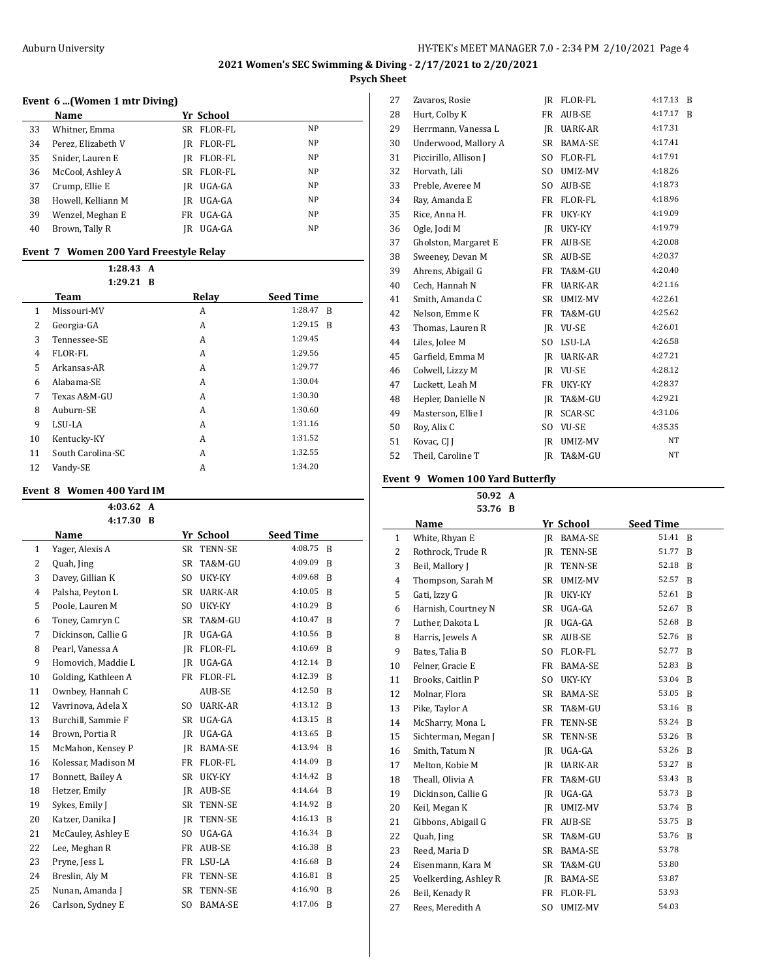### **Event 6 ...(Women 1 mtr Diving)**

|    | Name               |      | Yr School |    |
|----|--------------------|------|-----------|----|
| 33 | Whitner, Emma      | SR   | FLOR-FL   | NP |
| 34 | Perez, Elizabeth V | IR   | FLOR-FL   | NP |
| 35 | Snider, Lauren E   | IR   | FLOR-FL   | NP |
| 36 | McCool, Ashley A   | SR – | FLOR-FL   | NP |
| 37 | Crump, Ellie E     | IR   | UGA-GA    | NP |
| 38 | Howell, Kelliann M | IR   | UGA-GA    | NP |
| 39 | Wenzel, Meghan E   | FR   | UGA-GA    | NP |
| 40 | Brown, Tally R     | IR   | UGA-GA    | NP |

### **Event 7 Women 200 Yard Freestyle Relay**

|    | 1:28.43 A         |       |                           |
|----|-------------------|-------|---------------------------|
|    | $1:29.21$ B       |       |                           |
|    | Team              | Relay | <b>Seed Time</b>          |
| 1  | Missouri-MV       | A     | 1:28.47<br>$\overline{B}$ |
| 2  | Georgia-GA        | A     | 1:29.15<br>B              |
| 3  | Tennessee-SE      | A     | 1:29.45                   |
| 4  | FLOR-FL           | A     | 1:29.56                   |
| 5. | Arkansas-AR       | A     | 1:29.77                   |
| 6  | Alabama-SE        | A     | 1:30.04                   |
| 7  | Texas A&M-GU      | A     | 1:30.30                   |
| 8  | Auburn-SE         | A     | 1:30.60                   |
| 9  | LSU-LA            | A     | 1:31.16                   |
| 10 | Kentucky-KY       | A     | 1:31.52                   |
| 11 | South Carolina-SC | A     | 1:32.55                   |
| 12 | Vandy-SE          | А     | 1:34.20                   |

## **Event 8 Women 400 Yard IM**

|    | 4:03.62<br>A        |                |                |                  |              |
|----|---------------------|----------------|----------------|------------------|--------------|
|    | 4:17.30 B           |                |                |                  |              |
|    | Name                |                | Yr School      | <b>Seed Time</b> |              |
| 1  | Yager, Alexis A     | <b>SR</b>      | TENN-SE        | 4:08.75          | B            |
| 2  | Quah, Jing          | <b>SR</b>      | TA&M-GU        | 4:09.09          | B            |
| 3  | Davey, Gillian K    | S <sub>O</sub> | UKY-KY         | 4:09.68          | B            |
| 4  | Palsha, Peyton L    | <b>SR</b>      | UARK-AR        | 4:10.05          | B            |
| 5  | Poole, Lauren M     | SO.            | UKY-KY         | 4:10.29          | B            |
| 6  | Toney, Camryn C     | SR             | TA&M-GU        | 4:10.47          | <sup>B</sup> |
| 7  | Dickinson, Callie G | <b>IR</b>      | UGA-GA         | 4:10.56          | B            |
| 8  | Pearl, Vanessa A    | IR             | FLOR-FL        | 4:10.69          | B            |
| 9  | Homovich, Maddie L  | IR             | UGA-GA         | 4:12.14          | B            |
| 10 | Golding, Kathleen A | FR             | FLOR-FL        | 4:12.39          | B            |
| 11 | Ownbey, Hannah C    |                | AUB-SE         | 4:12.50          | B            |
| 12 | Vavrinova, Adela X  | S <sub>O</sub> | UARK-AR        | 4:13.12          | B            |
| 13 | Burchill, Sammie F  | SR             | UGA-GA         | 4:13.15          | B            |
| 14 | Brown, Portia R     | <b>IR</b>      | UGA-GA         | 4:13.65          | B            |
| 15 | McMahon, Kensey P   | IR             | BAMA-SE        | 4:13.94          | -B           |
| 16 | Kolessar, Madison M | FR             | FLOR-FL        | 4:14.09          | B            |
| 17 | Bonnett, Bailey A   | <b>SR</b>      | UKY-KY         | 4:14.42          | B            |
| 18 | Hetzer, Emily       |                | IR AUB-SE      | 4:14.64          | <sup>B</sup> |
| 19 | Sykes, Emily J      | SR             | TENN-SE        | 4:14.92          | B            |
| 20 | Katzer, Danika J    | <b>IR</b>      | TENN-SE        | 4:16.13          | B            |
| 21 | McCauley, Ashley E  | S <sub>0</sub> | UGA-GA         | 4:16.34          | -B           |
| 22 | Lee, Meghan R       | FR             | AUB-SE         | 4:16.38          | <sup>B</sup> |
| 23 | Pryne, Jess L       | FR             | LSU-LA         | 4:16.68          | B            |
| 24 | Breslin, Aly M      | FR             | TENN-SE        | 4:16.81          | B            |
| 25 | Nunan, Amanda J     | <b>SR</b>      | TENN-SE        | 4:16.90          | B            |
| 26 | Carlson, Sydney E   | S <sub>O</sub> | <b>BAMA-SE</b> | 4:17.06          | B            |

| 27 | Zavaros, Rosie        | IR        | FLOR-FL      | 4:17.13 | B |
|----|-----------------------|-----------|--------------|---------|---|
| 28 | Hurt, Colby K         | FR        | AUB-SE       | 4:17.17 | B |
| 29 | Herrmann, Vanessa L   | IR        | UARK-AR      | 4:17.31 |   |
| 30 | Underwood, Mallory A  | SR        | BAMA-SE      | 4:17.41 |   |
| 31 | Piccirillo, Allison J | SO.       | FLOR-FL      | 4:17.91 |   |
| 32 | Horvath, Lili         | SO.       | UMIZ-MV      | 4:18.26 |   |
| 33 | Preble, Averee M      | SO.       | AUB-SE       | 4:18.73 |   |
| 34 | Ray, Amanda E         | FR        | FLOR-FL      | 4:18.96 |   |
| 35 | Rice, Anna H.         | FR        | UKY-KY       | 4:19.09 |   |
| 36 | Ogle, Jodi M          | IR        | UKY-KY       | 4:19.79 |   |
| 37 | Gholston, Margaret E  | <b>FR</b> | AUB-SE       | 4:20.08 |   |
| 38 | Sweeney, Devan M      | SR        | AUB-SE       | 4:20.37 |   |
| 39 | Ahrens, Abigail G     | FR        | TA&M-GU      | 4:20.40 |   |
| 40 | Cech, Hannah N        | <b>FR</b> | UARK-AR      | 4:21.16 |   |
| 41 | Smith, Amanda C       | SR        | UMIZ-MV      | 4:22.61 |   |
| 42 | Nelson, Emme K        | FR        | TA&M-GU      | 4:25.62 |   |
| 43 | Thomas, Lauren R      | IR        | VU-SE        | 4:26.01 |   |
| 44 | Liles, Jolee M        | SO.       | LSU-LA       | 4:26.58 |   |
| 45 | Garfield, Emma M      | IR        | UARK-AR      | 4:27.21 |   |
| 46 | Colwell, Lizzy M      | IR        | <b>VU-SE</b> | 4:28.12 |   |
| 47 | Luckett, Leah M       | FR        | UKY-KY       | 4:28.37 |   |
| 48 | Hepler, Danielle N    | IR        | TA&M-GU      | 4:29.21 |   |
| 49 | Masterson, Ellie I    | IR        | SCAR-SC      | 4:31.06 |   |
| 50 | Roy, Alix C           | SO.       | <b>VU-SE</b> | 4:35.35 |   |
| 51 | Kovac, CJ J           | IR        | UMIZ-MV      | NT      |   |
| 52 | Theil, Caroline T     | IR        | TA&M-GU      | NT      |   |

#### **Event 9 Women 100 Yard Butterfly**

**50.92 A 53.76 B**

|    | 53./OD                |           |                |                  |                |
|----|-----------------------|-----------|----------------|------------------|----------------|
|    | Name                  |           | Yr School      | <b>Seed Time</b> |                |
| 1  | White, Rhyan E        | IR        | <b>BAMA-SE</b> | 51.41            | $\overline{B}$ |
| 2  | Rothrock, Trude R     | IR        | TENN-SE        | 51.77            | B              |
| 3  | Beil, Mallory J       | IR        | TENN-SE        | 52.18            | B              |
| 4  | Thompson, Sarah M     | SR        | UMIZ-MV        | 52.57            | B              |
| 5  | Gati, Izzy G          | IR        | UKY-KY         | 52.61            | B              |
| 6  | Harnish, Courtney N   | <b>SR</b> | UGA-GA         | 52.67            | B              |
| 7  | Luther, Dakota L      | IR        | UGA-GA         | 52.68            | B              |
| 8  | Harris, Jewels A      | SR        | AUB-SE         | 52.76            | B              |
| 9  | Bates, Talia B        | SO.       | FLOR-FL        | 52.77            | B              |
| 10 | Felner, Gracie E      | FR        | <b>BAMA-SE</b> | 52.83            | B              |
| 11 | Brooks, Caitlin P     | SO.       | UKY-KY         | 53.04            | B              |
| 12 | Molnar, Flora         | SR        | BAMA-SE        | 53.05            | B              |
| 13 | Pike, Taylor A        | SR        | TA&M-GU        | 53.16            | B              |
| 14 | McSharry, Mona L      | FR        | TENN-SE        | 53.24            | B              |
| 15 | Sichterman, Megan J   | SR        | TENN-SE        | 53.26            | B              |
| 16 | Smith, Tatum N        | IR        | UGA-GA         | 53.26            | B              |
| 17 | Melton, Kobie M       | IR        | UARK-AR        | 53.27            | B              |
| 18 | Theall, Olivia A      | <b>FR</b> | TA&M-GU        | 53.43            | B              |
| 19 | Dickinson, Callie G   | IR        | UGA-GA         | 53.73            | B              |
| 20 | Keil, Megan K         | IR        | UMIZ-MV        | 53.74            | B              |
| 21 | Gibbons, Abigail G    | FR        | AUB-SE         | 53.75            | B              |
| 22 | Quah, Jing            | <b>SR</b> | TA&M-GU        | 53.76            | B              |
| 23 | Reed, Maria D         | SR        | BAMA-SE        | 53.78            |                |
| 24 | Eisenmann, Kara M     | <b>SR</b> | TA&M-GU        | 53.80            |                |
| 25 | Voelkerding, Ashley R | JR        | <b>BAMA-SE</b> | 53.87            |                |
| 26 | Beil, Kenady R        | FR        | FLOR-FL        | 53.93            |                |
| 27 | Rees, Meredith A      | SO.       | UMIZ-MV        | 54.03            |                |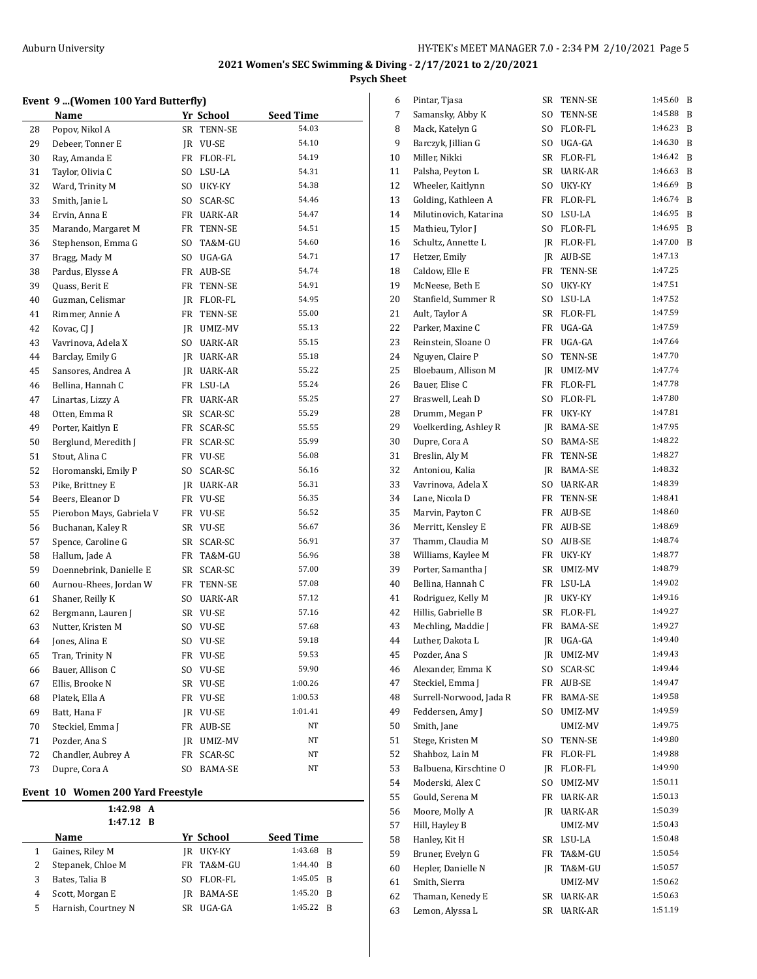#### **Event 9 ...(Women 100 Yard Butterfly)**

|    | Name                      |     | Yr School  | Seed Time |  |
|----|---------------------------|-----|------------|-----------|--|
| 28 | Popov, Nikol A            | SR  | TENN-SE    | 54.03     |  |
| 29 | Debeer, Tonner E          | JR  | VU-SE      | 54.10     |  |
| 30 | Ray, Amanda E             | FR  | FLOR-FL    | 54.19     |  |
| 31 | Taylor, Olivia C          | SO. | LSU-LA     | 54.31     |  |
| 32 | Ward, Trinity M           |     | SO UKY-KY  | 54.38     |  |
| 33 | Smith, Janie L            | SO. | SCAR-SC    | 54.46     |  |
| 34 | Ervin, Anna E             |     | FR UARK-AR | 54.47     |  |
| 35 | Marando, Margaret M       | FR  | TENN-SE    | 54.51     |  |
| 36 | Stephenson, Emma G        | SO. | TA&M-GU    | 54.60     |  |
| 37 | Bragg, Mady M             | SO. | UGA-GA     | 54.71     |  |
| 38 | Pardus, Elysse A          |     | FR AUB-SE  | 54.74     |  |
| 39 | Quass, Berit E            | FR  | TENN-SE    | 54.91     |  |
| 40 | Guzman, Celismar          |     | JR FLOR-FL | 54.95     |  |
| 41 | Rimmer, Annie A           |     | FR TENN-SE | 55.00     |  |
| 42 | Kovac, CJ J               |     | JR UMIZ-MV | 55.13     |  |
| 43 | Vavrinova, Adela X        |     | SO UARK-AR | 55.15     |  |
| 44 | Barclay, Emily G          |     | IR UARK-AR | 55.18     |  |
| 45 | Sansores, Andrea A        |     | JR UARK-AR | 55.22     |  |
| 46 | Bellina, Hannah C         |     | FR LSU-LA  | 55.24     |  |
| 47 | Linartas, Lizzy A         | FR  | UARK-AR    | 55.25     |  |
| 48 | Otten, Emma R             | SR  | SCAR-SC    | 55.29     |  |
| 49 | Porter, Kaitlyn E         | FR  | SCAR-SC    | 55.55     |  |
| 50 | Berglund, Meredith J      | FR  | SCAR-SC    | 55.99     |  |
| 51 | Stout, Alina C            |     | FR VU-SE   | 56.08     |  |
| 52 | Horomanski, Emily P       | SO. | SCAR-SC    | 56.16     |  |
| 53 | Pike, Brittney E          |     | JR UARK-AR | 56.31     |  |
| 54 | Beers, Eleanor D          |     | FR VU-SE   | 56.35     |  |
| 55 | Pierobon Mays, Gabriela V | FR  | VU-SE      | 56.52     |  |
| 56 | Buchanan, Kaley R         | SR  | VU-SE      | 56.67     |  |
| 57 | Spence, Caroline G        | SR  | SCAR-SC    | 56.91     |  |
| 58 | Hallum, Jade A            | FR  | TA&M-GU    | 56.96     |  |
| 59 | Doennebrink, Danielle E   | SR  | SCAR-SC    | 57.00     |  |
| 60 | Aurnou-Rhees, Jordan W    | FR  | TENN-SE    | 57.08     |  |
| 61 | Shaner, Reilly K          | SO  | UARK-AR    | 57.12     |  |
| 62 | Bergmann, Lauren J        |     | SR VU-SE   | 57.16     |  |
| 63 | Nutter, Kristen M         |     | SO VU-SE   | 57.68     |  |
| 64 | Jones, Alina E            | SO. | VU-SE      | 59.18     |  |
| 65 | Tran, Trinity N           | FR  | VU-SE      | 59.53     |  |
| 66 | Bauer, Allison C          | SO. | VU-SE      | 59.90     |  |
| 67 | Ellis, Brooke N           | SR  | VU-SE      | 1:00.26   |  |
| 68 | Platek, Ella A            | FR  | VU-SE      | 1:00.53   |  |
| 69 | Batt, Hana F              | JR  | VU-SE      | 1:01.41   |  |
| 70 | Steckiel, Emma J          | FR  | AUB-SE     | NΤ        |  |
| 71 | Pozder, Ana S             | JR  | UMIZ-MV    | NΤ        |  |
| 72 | Chandler, Aubrey A        | FR  | SCAR-SC    | NΤ        |  |
| 73 | Dupre, Cora A             | SO. | BAMA-SE    | NΤ        |  |

#### **Event 10 Women 200 Yard Freestyle**

 $\overline{a}$ 

**1:42.98 A 1:47.12 B**

|    | Name                | Yr School  | <b>Seed Time</b> |  |
|----|---------------------|------------|------------------|--|
|    | Gaines, Riley M     | JR UKY-KY  | 1:43.68 B        |  |
|    | Stepanek, Chloe M   | FR TA&M-GU | 1:44.40 R        |  |
|    | Bates, Talia B      | SO FLOR-FL | 1:45.05 R        |  |
|    | Scott, Morgan E     | IR BAMA-SE | 1:45.20 B        |  |
| 5. | Harnish, Courtney N | SR UGA-GA  | 1:45.22 R        |  |
|    |                     |            |                  |  |

| 6  | Pintar, Tjasa           | SR        | TENN-SE        | 1:45.60 | B |
|----|-------------------------|-----------|----------------|---------|---|
| 7  | Samansky, Abby K        | SO.       | TENN-SE        | 1:45.88 | B |
| 8  | Mack, Katelyn G         | SO.       | FLOR-FL        | 1:46.23 | B |
| 9  | Barczyk, Jillian G      | SO.       | UGA-GA         | 1:46.30 | B |
| 10 | Miller, Nikki           | SR        | FLOR-FL        | 1:46.42 | B |
| 11 | Palsha, Peyton L        | SR        | <b>UARK-AR</b> | 1:46.63 | B |
| 12 | Wheeler, Kaitlynn       | SO.       | UKY-KY         | 1:46.69 | B |
| 13 | Golding, Kathleen A     | FR        | FLOR-FL        | 1:46.74 | B |
| 14 | Milutinovich, Katarina  | SO.       | LSU-LA         | 1:46.95 | B |
| 15 | Mathieu, Tylor J        | SO.       | FLOR-FL        | 1:46.95 | B |
| 16 | Schultz, Annette L      | JR        | FLOR-FL        | 1:47.00 | B |
| 17 | Hetzer, Emily           | JR        | AUB-SE         | 1:47.13 |   |
| 18 | Caldow, Elle E          | FR        | TENN-SE        | 1:47.25 |   |
| 19 | McNeese, Beth E         | SO.       | UKY-KY         | 1:47.51 |   |
| 20 | Stanfield, Summer R     | SO.       | LSU-LA         | 1:47.52 |   |
| 21 | Ault, Taylor A          | SR        | FLOR-FL        | 1:47.59 |   |
| 22 | Parker, Maxine C        | FR        | UGA-GA         | 1:47.59 |   |
| 23 | Reinstein, Sloane O     | FR        | UGA-GA         | 1:47.64 |   |
| 24 | Nguyen, Claire P        | SO.       | TENN-SE        | 1:47.70 |   |
| 25 | Bloebaum, Allison M     | JR        | UMIZ-MV        | 1:47.74 |   |
| 26 | Bauer, Elise C          | FR        | FLOR-FL        | 1:47.78 |   |
| 27 | Braswell, Leah D        | SO.       | FLOR-FL        | 1:47.80 |   |
| 28 | Drumm, Megan P          | FR        | UKY-KY         | 1:47.81 |   |
| 29 | Voelkerding, Ashley R   | JR        | BAMA-SE        | 1:47.95 |   |
| 30 | Dupre, Cora A           | SO.       | BAMA-SE        | 1:48.22 |   |
| 31 | Breslin, Aly M          | FR        | TENN-SE        | 1:48.27 |   |
| 32 | Antoniou, Kalia         | JR        | <b>BAMA-SE</b> | 1:48.32 |   |
| 33 | Vavrinova, Adela X      | SO.       | UARK-AR        | 1:48.39 |   |
| 34 | Lane, Nicola D          | FR        | TENN-SE        | 1:48.41 |   |
| 35 | Marvin, Payton C        | FR        | AUB-SE         | 1:48.60 |   |
| 36 | Merritt, Kensley E      | FR        | AUB-SE         | 1:48.69 |   |
| 37 | Thamm, Claudia M        | SO.       | AUB-SE         | 1:48.74 |   |
| 38 | Williams, Kaylee M      | FR        | UKY-KY         | 1:48.77 |   |
| 39 | Porter, Samantha J      | SR        | UMIZ-MV        | 1:48.79 |   |
| 40 | Bellina, Hannah C       | FR        | LSU-LA         | 1:49.02 |   |
| 41 | Rodriguez, Kelly M      | JR        | UKY-KY         | 1:49.16 |   |
| 42 | Hillis, Gabrielle B     | <b>SR</b> | FLOR-FL        | 1:49.27 |   |
| 43 | Mechling, Maddie J      | FR        | BAMA-SE        | 1:49.27 |   |
| 44 | Luther, Dakota L        | JR        | UGA-GA         | 1:49.40 |   |
| 45 | Pozder, Ana S           | JR        | UMIZ-MV        | 1:49.43 |   |
| 46 | Alexander, Emma K       | SO.       | SCAR-SC        | 1:49.44 |   |
| 47 | Steckiel, Emma J        | FR        | AUB-SE         | 1:49.47 |   |
| 48 | Surrell-Norwood, Jada R | FR        | BAMA-SE        | 1:49.58 |   |
| 49 | Feddersen, Amy J        | SO.       | UMIZ-MV        | 1:49.59 |   |
| 50 | Smith, Jane             |           | UMIZ-MV        | 1:49.75 |   |
| 51 | Stege, Kristen M        | SO.       | TENN-SE        | 1:49.80 |   |
| 52 | Shahboz, Lain M         | FR        | FLOR-FL        | 1:49.88 |   |
| 53 | Balbuena, Kirschtine O  | JR        | FLOR-FL        | 1:49.90 |   |
| 54 | Moderski, Alex C        | SO.       | UMIZ-MV        | 1:50.11 |   |
| 55 | Gould, Serena M         | FR        | UARK-AR        | 1:50.13 |   |
| 56 | Moore, Molly A          | JR        | UARK-AR        | 1:50.39 |   |
| 57 | Hill, Hayley B          |           | UMIZ-MV        | 1:50.43 |   |
| 58 | Hanley, Kit H           | SR        | LSU-LA         | 1:50.48 |   |
| 59 | Bruner, Evelyn G        | FR        | TA&M-GU        | 1:50.54 |   |
| 60 | Hepler, Danielle N      | JR        | TA&M-GU        | 1:50.57 |   |
| 61 | Smith, Sierra           |           | UMIZ-MV        | 1:50.62 |   |
| 62 | Thaman, Kenedy E        | SR        | UARK-AR        | 1:50.63 |   |
| 63 | Lemon, Alyssa L         | SR        | UARK-AR        | 1:51.19 |   |
|    |                         |           |                |         |   |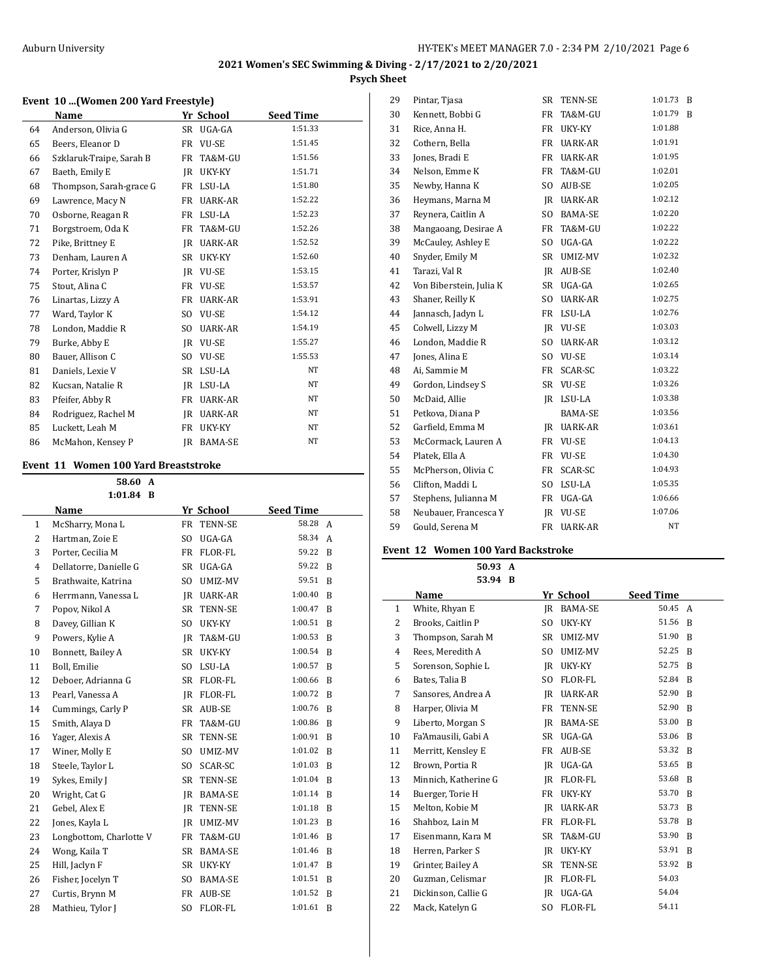#### **Event 10 ...(Women 200 Yard Freestyle)**

|    | Name                     |           | Yr School      | <b>Seed Time</b> |  |
|----|--------------------------|-----------|----------------|------------------|--|
| 64 | Anderson, Olivia G       |           | SR UGA-GA      | 1:51.33          |  |
| 65 | Beers, Eleanor D         | FR        | VU-SE          | 1:51.45          |  |
| 66 | Szklaruk-Traipe, Sarah B | FR        | TA&M-GU        | 1:51.56          |  |
| 67 | Baeth, Emily E           | <b>IR</b> | UKY-KY         | 1:51.71          |  |
| 68 | Thompson, Sarah-grace G  | FR        | LSU-LA         | 1:51.80          |  |
| 69 | Lawrence, Macy N         | FR        | UARK-AR        | 1:52.22          |  |
| 70 | Osborne, Reagan R        | FR        | LSU-LA         | 1:52.23          |  |
| 71 | Borgstroem, Oda K        | FR        | TA&M-GU        | 1:52.26          |  |
| 72 | Pike, Brittney E         | <b>IR</b> | UARK-AR        | 1:52.52          |  |
| 73 | Denham, Lauren A         | SR        | UKY-KY         | 1:52.60          |  |
| 74 | Porter, Krislyn P        | <b>JR</b> | <b>VU-SE</b>   | 1:53.15          |  |
| 75 | Stout, Alina C           | FR        | VU-SE          | 1:53.57          |  |
| 76 | Linartas, Lizzy A        | FR        | <b>UARK-AR</b> | 1:53.91          |  |
| 77 | Ward, Taylor K           | SO.       | <b>VU-SE</b>   | 1:54.12          |  |
| 78 | London, Maddie R         | SO.       | UARK-AR        | 1:54.19          |  |
| 79 | Burke, Abby E            | IR        | <b>VU-SE</b>   | 1:55.27          |  |
| 80 | Bauer, Allison C         | SO.       | VU-SE          | 1:55.53          |  |
| 81 | Daniels, Lexie V         | SR        | LSU-LA         | NT               |  |
| 82 | Kucsan, Natalie R        | IR        | LSU-LA         | <b>NT</b>        |  |
| 83 | Pfeifer, Abby R          | FR        | UARK-AR        | NT               |  |
| 84 | Rodriguez, Rachel M      | <b>IR</b> | UARK-AR        | NT               |  |
| 85 | Luckett, Leah M          | FR        | UKY-KY         | NT               |  |
| 86 | McMahon, Kensey P        | IR        | <b>BAMA-SE</b> | NT               |  |

#### **Event 11 Women 100 Yard Breaststroke**

|                | 58.60<br>$\mathbf{A}$   |                |                |                  |   |
|----------------|-------------------------|----------------|----------------|------------------|---|
|                | 1:01.84<br>- B          |                |                |                  |   |
|                | Name                    |                | Yr School      | <b>Seed Time</b> |   |
| $\mathbf{1}$   | McSharry, Mona L        | <b>FR</b>      | <b>TENN-SE</b> | 58.28            | A |
| $\overline{2}$ | Hartman, Zoie E         | S <sub>O</sub> | UGA-GA         | 58.34            | A |
| 3              | Porter, Cecilia M       | FR             | FLOR-FL        | 59.22            | B |
| $\overline{4}$ | Dellatorre, Danielle G  | SR             | UGA-GA         | 59.22            | B |
| 5              | Brathwaite, Katrina     | SO.            | UMIZ-MV        | 59.51            | B |
| 6              | Herrmann, Vanessa L     | IR             | UARK-AR        | 1:00.40          | B |
| 7              | Popov, Nikol A          | SR             | TENN-SE        | 1:00.47          | B |
| 8              | Davey, Gillian K        | SO.            | UKY-KY         | 1:00.51          | B |
| 9              | Powers, Kylie A         | IR             | TA&M-GU        | 1:00.53          | B |
| 10             | Bonnett, Bailey A       | SR             | UKY-KY         | 1:00.54          | B |
| 11             | Boll, Emilie            | SO.            | LSU-LA         | 1:00.57          | B |
| 12             | Deboer, Adrianna G      | SR             | <b>FLOR-FL</b> | 1:00.66          | B |
| 13             | Pearl, Vanessa A        | IR             | FLOR-FL        | 1:00.72          | B |
| 14             | Cummings, Carly P       | <b>SR</b>      | <b>AUB-SE</b>  | 1:00.76          | B |
| 15             | Smith, Alaya D          | <b>FR</b>      | TA&M-GU        | 1:00.86          | B |
| 16             | Yager, Alexis A         | <b>SR</b>      | <b>TENN-SE</b> | 1:00.91          | B |
| 17             | Winer, Molly E          | S <sub>O</sub> | UMIZ-MV        | 1:01.02          | B |
| 18             | Steele, Taylor L        | S <sub>0</sub> | SCAR-SC        | 1:01.03          | B |
| 19             | Sykes, Emily J          | SR             | TENN-SE        | 1:01.04          | B |
| 20             | Wright, Cat G           | JR             | <b>BAMA-SE</b> | 1:01.14          | B |
| 21             | Gebel, Alex E           | IR             | <b>TENN-SE</b> | 1:01.18          | B |
| 22             | Jones, Kayla L          | IR             | UMIZ-MV        | 1:01.23          | B |
| 23             | Longbottom, Charlotte V | <b>FR</b>      | TA&M-GU        | 1:01.46          | B |
| 24             | Wong, Kaila T           | <b>SR</b>      | BAMA-SE        | 1:01.46          | B |
| 25             | Hill, Jaclyn F          | <b>SR</b>      | UKY-KY         | 1:01.47          | B |
| 26             | Fisher, Jocelyn T       | S <sub>O</sub> | BAMA-SE        | 1:01.51          | R |
| 27             | Curtis, Brynn M         | FR             | AUB-SE         | 1:01.52          | B |
| 28             | Mathieu, Tylor J        | S <sub>O</sub> | <b>FLOR-FL</b> | 1:01.61          | B |

| 29 | Pintar, Tjasa           | SR             | TENN-SE        | 1:01.73 | B |
|----|-------------------------|----------------|----------------|---------|---|
| 30 | Kennett, Bobbi G        | FR             | TA&M-GU        | 1:01.79 | B |
| 31 | Rice, Anna H.           | FR             | UKY-KY         | 1:01.88 |   |
| 32 | Cothern, Bella          | FR             | UARK-AR        | 1:01.91 |   |
| 33 | Jones, Bradi E          | FR             | <b>UARK-AR</b> | 1:01.95 |   |
| 34 | Nelson, Emme K          | FR             | TA&M-GU        | 1:02.01 |   |
| 35 | Newby, Hanna K          | SO.            | AUB-SE         | 1:02.05 |   |
| 36 | Heymans, Marna M        | IR             | UARK-AR        | 1:02.12 |   |
| 37 | Reynera, Caitlin A      | SO.            | BAMA-SE        | 1:02.20 |   |
| 38 | Mangaoang, Desirae A    | FR             | TA&M-GU        | 1:02.22 |   |
| 39 | McCauley, Ashley E      | SO.            | UGA-GA         | 1:02.22 |   |
| 40 | Snyder, Emily M         | <b>SR</b>      | UMIZ-MV        | 1:02.32 |   |
| 41 | Tarazi, Val R           | IR             | AUB-SE         | 1:02.40 |   |
| 42 | Von Biberstein, Julia K | <b>SR</b>      | UGA-GA         | 1:02.65 |   |
| 43 | Shaner, Reilly K        | S <sub>O</sub> | <b>UARK-AR</b> | 1:02.75 |   |
| 44 | Jannasch, Jadyn L       | <b>FR</b>      | LSU-LA         | 1:02.76 |   |
| 45 | Colwell, Lizzy M        | IR.            | <b>VU-SE</b>   | 1:03.03 |   |
| 46 | London, Maddie R        | SO.            | UARK-AR        | 1:03.12 |   |
| 47 | Jones, Alina E          | SO.            | VU-SE          | 1:03.14 |   |
| 48 | Ai, Sammie M            | FR             | SCAR-SC        | 1:03.22 |   |
| 49 | Gordon, Lindsey S       | SR             | VU-SE          | 1:03.26 |   |
| 50 | McDaid, Allie           | IR             | LSU-LA         | 1:03.38 |   |
| 51 | Petkova, Diana P        |                | BAMA-SE        | 1:03.56 |   |
| 52 | Garfield, Emma M        | JR             | UARK-AR        | 1:03.61 |   |
| 53 | McCormack, Lauren A     | FR             | VU-SE          | 1:04.13 |   |
| 54 | Platek, Ella A          | FR             | VU-SE          | 1:04.30 |   |
| 55 | McPherson, Olivia C     | FR             | SCAR-SC        | 1:04.93 |   |
| 56 | Clifton, Maddi L        | SO.            | LSU-LA         | 1:05.35 |   |
| 57 | Stephens, Julianna M    | FR             | UGA-GA         | 1:06.66 |   |
| 58 | Neubauer, Francesca Y   | IR             | VU-SE          | 1:07.06 |   |
| 59 | Gould, Serena M         | <b>FR</b>      | <b>UARK-AR</b> | NT      |   |
|    |                         |                |                |         |   |

## **Event 12 Women 100 Yard Backstroke**

**50.93 A 53.94 B**

|              | Name                 |                | Yr School      | <b>Seed Time</b> |   |
|--------------|----------------------|----------------|----------------|------------------|---|
| $\mathbf{1}$ | White, Rhyan E       | IR             | <b>BAMA-SE</b> | 50.45            | A |
| 2            | Brooks, Caitlin P    | SO.            | UKY-KY         | 51.56            | R |
| 3            | Thompson, Sarah M    | SR             | UMIZ-MV        | 51.90            | B |
| 4            | Rees, Meredith A     | SO.            | UMIZ-MV        | 52.25            | B |
| 5            | Sorenson, Sophie L   | IR             | UKY-KY         | 52.75            | B |
| 6            | Bates, Talia B       | SO.            | FLOR-FL        | 52.84            | B |
| 7            | Sansores, Andrea A   | IR             | UARK-AR        | 52.90            | R |
| 8            | Harper, Olivia M     | FR             | <b>TENN-SE</b> | 52.90            | B |
| 9            | Liberto, Morgan S    | IR.            | BAMA-SE        | 53.00            | B |
| 10           | Fa'Amausili, Gabi A  | SR             | UGA-GA         | 53.06            | R |
| 11           | Merritt, Kensley E   | FR             | AUB-SE         | 53.32            | R |
| 12           | Brown, Portia R      | IR             | UGA-GA         | 53.65            | B |
| 13           | Minnich, Katherine G | IR             | FLOR-FL        | 53.68            | B |
| 14           | Buerger, Torie H     | FR             | UKY-KY         | 53.70            | B |
| 15           | Melton, Kobie M      | IR             | UARK-AR        | 53.73            | R |
| 16           | Shahboz, Lain M      | FR             | FLOR-FL        | 53.78            | R |
| 17           | Eisenmann, Kara M    | <b>SR</b>      | TA&M-GU        | 53.90            | B |
| 18           | Herren, Parker S     | IR             | UKY-KY         | 53.91            | B |
| 19           | Grinter, Bailey A    | SR             | TENN-SE        | 53.92            | R |
| 20           | Guzman, Celismar     | JR             | FLOR-FL        | 54.03            |   |
| 21           | Dickinson, Callie G  | IR             | UGA-GA         | 54.04            |   |
| 22           | Mack, Katelyn G      | S <sub>O</sub> | <b>FLOR-FL</b> | 54.11            |   |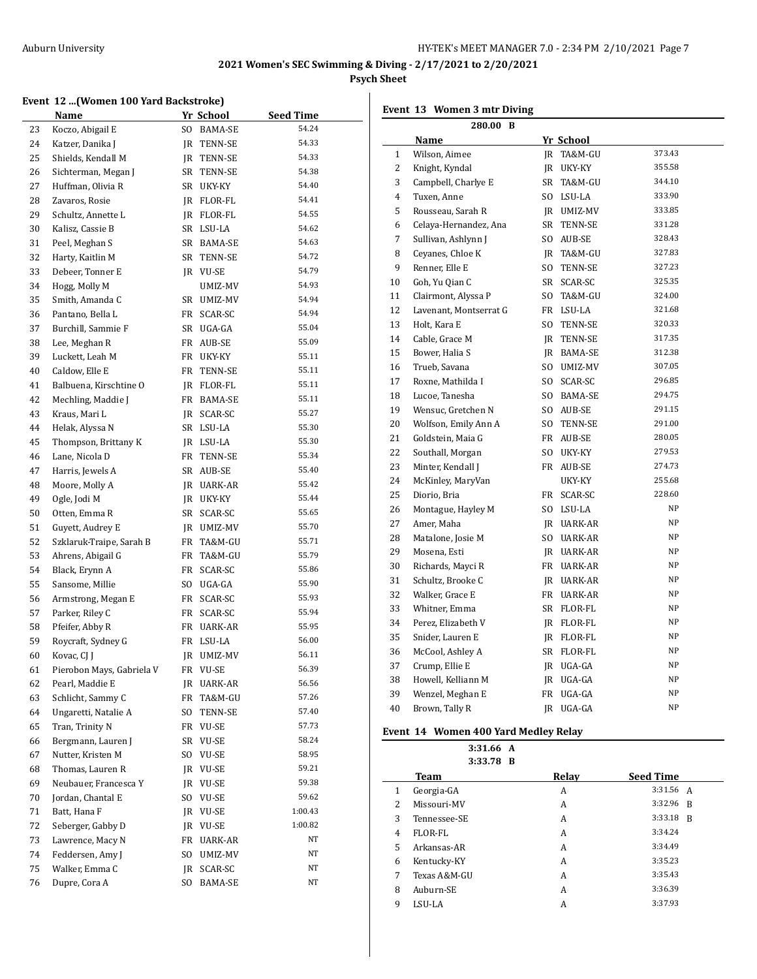#### **Event 12 ...(Women 100 Yard Backstroke)**

|    | Name                      |     | Yr School      | Seed Time |
|----|---------------------------|-----|----------------|-----------|
| 23 | Koczo, Abigail E          | SO. | BAMA-SE        | 54.24     |
| 24 | Katzer, Danika J          | JR  | TENN-SE        | 54.33     |
| 25 | Shields, Kendall M        | JR  | TENN-SE        | 54.33     |
| 26 | Sichterman, Megan J       | SR  | <b>TENN-SE</b> | 54.38     |
| 27 | Huffman, Olivia R         | SR  | UKY-KY         | 54.40     |
| 28 | Zavaros, Rosie            | JR. | FLOR-FL        | 54.41     |
| 29 | Schultz, Annette L        | JR  | FLOR-FL        | 54.55     |
| 30 | Kalisz, Cassie B          | SR  | LSU-LA         | 54.62     |
| 31 | Peel, Meghan S            | SR  | BAMA-SE        | 54.63     |
| 32 | Harty, Kaitlin M          | SR  | TENN-SE        | 54.72     |
| 33 | Debeer, Tonner E          | JR  | VU-SE          | 54.79     |
| 34 | Hogg, Molly M             |     | UMIZ-MV        | 54.93     |
| 35 | Smith, Amanda C           | SR  | UMIZ-MV        | 54.94     |
| 36 | Pantano, Bella L          | FR  | SCAR-SC        | 54.94     |
| 37 | Burchill, Sammie F        | SR  | UGA-GA         | 55.04     |
| 38 | Lee, Meghan R             | FR  | AUB-SE         | 55.09     |
| 39 | Luckett, Leah M           | FR  | UKY-KY         | 55.11     |
| 40 | Caldow, Elle E            | FR  | TENN-SE        | 55.11     |
| 41 | Balbuena, Kirschtine O    | JR. | FLOR-FL        | 55.11     |
| 42 | Mechling, Maddie J        | FR  | BAMA-SE        | 55.11     |
| 43 | Kraus, Mari L             | JR  | SCAR-SC        | 55.27     |
| 44 | Helak, Alyssa N           | SR  | LSU-LA         | 55.30     |
| 45 | Thompson, Brittany K      | JR  | LSU-LA         | 55.30     |
| 46 | Lane, Nicola D            | FR  | TENN-SE        | 55.34     |
| 47 | Harris, Jewels A          | SR  | AUB-SE         | 55.40     |
| 48 | Moore, Molly A            | JR  | UARK-AR        | 55.42     |
| 49 | Ogle, Jodi M              | JR  | UKY-KY         | 55.44     |
| 50 | Otten, Emma R             | SR  | SCAR-SC        | 55.65     |
| 51 | Guyett, Audrey E          |     | JR UMIZ-MV     | 55.70     |
| 52 | Szklaruk-Traipe, Sarah B  | FR  | TA&M-GU        | 55.71     |
| 53 | Ahrens, Abigail G         | FR  | TA&M-GU        | 55.79     |
| 54 | Black, Erynn A            | FR  | SCAR-SC        | 55.86     |
| 55 | Sansome, Millie           | SO. | UGA-GA         | 55.90     |
| 56 | Armstrong, Megan E        | FR  | SCAR-SC        | 55.93     |
| 57 | Parker, Riley C           | FR  | SCAR-SC        | 55.94     |
| 58 | Pfeifer, Abby R           | FR  | UARK-AR        | 55.95     |
| 59 | Roycraft, Sydney G        | FR  | LSU-LA         | 56.00     |
| 60 | Kovac, CJ J               | JR  | UMIZ-MV        | 56.11     |
| 61 | Pierobon Mays, Gabriela V | FR  | VU-SE          | 56.39     |
| 62 | Pearl, Maddie E           | JR  | <b>UARK-AR</b> | 56.56     |
| 63 | Schlicht, Sammy C         | FR  | TA&M-GU        | 57.26     |
| 64 | Ungaretti, Natalie A      | SO. | TENN-SE        | 57.40     |
| 65 | Tran, Trinity N           | FR  | <b>VU-SE</b>   | 57.73     |
| 66 | Bergmann, Lauren J        | SR  | $\,$ VU-SE     | 58.24     |
| 67 | Nutter, Kristen M         | SO. | VU-SE          | 58.95     |
| 68 | Thomas, Lauren R          | JR  | VU-SE          | 59.21     |
| 69 | Neubauer, Francesca Y     | JR  | VU-SE          | 59.38     |
| 70 | Jordan, Chantal E         | SO. | VU-SE          | 59.62     |
| 71 | Batt, Hana F              | JR  | VU-SE          | 1:00.43   |
| 72 | Seberger, Gabby D         | JR  | VU-SE          | 1:00.82   |
| 73 | Lawrence, Macy N          | FR  | <b>UARK-AR</b> | NΤ        |
| 74 | Feddersen, Amy J          | SO. | UMIZ-MV        | NT        |
| 75 | Walker, Emma C            | JR  | SCAR-SC        | ΝT        |
| 76 | Dupre, Cora A             | SO. | BAMA-SE        | NΤ        |

|  | Event 13 Women 3 mtr Diving |  |  |
|--|-----------------------------|--|--|
|--|-----------------------------|--|--|

|                | 280.00 B               |    |            |        |  |  |
|----------------|------------------------|----|------------|--------|--|--|
|                | Name                   |    | Yr School  |        |  |  |
| 1              | Wilson, Aimee          |    | JR TA&M-GU | 373.43 |  |  |
| 2              | Knight, Kyndal         |    | JR UKY-KY  | 355.58 |  |  |
| 3              | Campbell, Charlye E    |    | SR TA&M-GU | 344.10 |  |  |
| $\overline{4}$ | Tuxen, Anne            |    | SO LSU-LA  | 333.90 |  |  |
| 5              | Rousseau, Sarah R      |    | IR UMIZ-MV | 333.85 |  |  |
| 6              | Celaya-Hernandez, Ana  | SR | TENN-SE    | 331.28 |  |  |
| 7              | Sullivan, Ashlynn J    |    | SO AUB-SE  | 328.43 |  |  |
| 8              | Ceyanes, Chloe K       |    | IR TA&M-GU | 327.83 |  |  |
| 9              | Renner, Elle E         | SO | TENN-SE    | 327.23 |  |  |
| 10             | Goh, Yu Qian C         |    | SR SCAR-SC | 325.35 |  |  |
| 11             | Clairmont, Alyssa P    |    | SO TA&M-GU | 324.00 |  |  |
| 12             | Lavenant, Montserrat G |    | FR LSU-LA  | 321.68 |  |  |
| 13             | Holt, Kara E           | SO | TENN-SE    | 320.33 |  |  |
| 14             | Cable, Grace M         |    | IR TENN-SE | 317.35 |  |  |
| 15             | Bower, Halia S         |    | IR BAMA-SE | 312.38 |  |  |
| 16             | Trueb, Savana          |    | SO UMIZ-MV | 307.05 |  |  |
| 17             | Roxne, Mathilda I      |    | SO SCAR-SC | 296.85 |  |  |
| 18             | Lucoe, Tanesha         |    | SO BAMA-SE | 294.75 |  |  |
| 19             | Wensuc, Gretchen N     |    | SO AUB-SE  | 291.15 |  |  |
| 20             | Wolfson, Emily Ann A   |    | SO TENN-SE | 291.00 |  |  |
| 21             | Goldstein, Maia G      |    | FR AUB-SE  | 280.05 |  |  |
| 22             | Southall, Morgan       | SO | UKY-KY     | 279.53 |  |  |
| 23             | Minter, Kendall J      |    | FR AUB-SE  | 274.73 |  |  |
| 24             | McKinley, MaryVan      |    | UKY-KY     | 255.68 |  |  |
| 25             | Diorio, Bria           |    | FR SCAR-SC | 228.60 |  |  |
| 26             | Montague, Hayley M     |    | SO LSU-LA  | NP     |  |  |
| 27             | Amer, Maha             |    | JR UARK-AR | NΡ     |  |  |
| 28             | Matalone, Josie M      |    | SO UARK-AR | NΡ     |  |  |
| 29             | Mosena, Esti           |    | JR UARK-AR | NP     |  |  |
| 30             | Richards, Mayci R      |    | FR UARK-AR | NΡ     |  |  |
| 31             | Schultz, Brooke C      |    | JR UARK-AR | NP     |  |  |
| 32             | Walker, Grace E        |    | FR UARK-AR | NΡ     |  |  |
| 33             | Whitner, Emma          |    | SR FLOR-FL | NΡ     |  |  |
| 34             | Perez, Elizabeth V     |    | JR FLOR-FL | NΡ     |  |  |
| 35             | Snider, Lauren E       |    | IR FLOR-FL | ΝP     |  |  |
| 36             | McCool, Ashley A       |    | SR FLOR-FL | NP     |  |  |
| 37             | Crump, Ellie E         |    | JR UGA-GA  | NP     |  |  |
| 38             | Howell, Kelliann M     |    | IR UGA-GA  | NΡ     |  |  |
| 39             | Wenzel, Meghan E       |    | FR UGA-GA  | NΡ     |  |  |
| 40             | Brown, Tally R         | IR | UGA-GA     | NP     |  |  |

# **Event 14 Women 400 Yard Medley Relay**

j.

**3:31.66 A**

|                | 3:33.78 B    |       |                  |
|----------------|--------------|-------|------------------|
|                | Team         | Relay | <b>Seed Time</b> |
| 1              | Georgia-GA   | A     | 3:31.56 A        |
| 2              | Missouri-MV  | A     | 3:32.96<br>- B   |
| 3              | Tennessee-SE | A     | $3:33.18$ R      |
| $\overline{4}$ | FLOR-FL      | A     | 3:34.24          |
| 5              | Arkansas-AR  | A     | 3:34.49          |
| 6              | Kentucky-KY  | A     | 3:35.23          |
| 7              | Texas A&M-GU | A     | 3:35.43          |
| 8              | Auburn-SE    | A     | 3:36.39          |
| 9              | LSU-LA       | А     | 3:37.93          |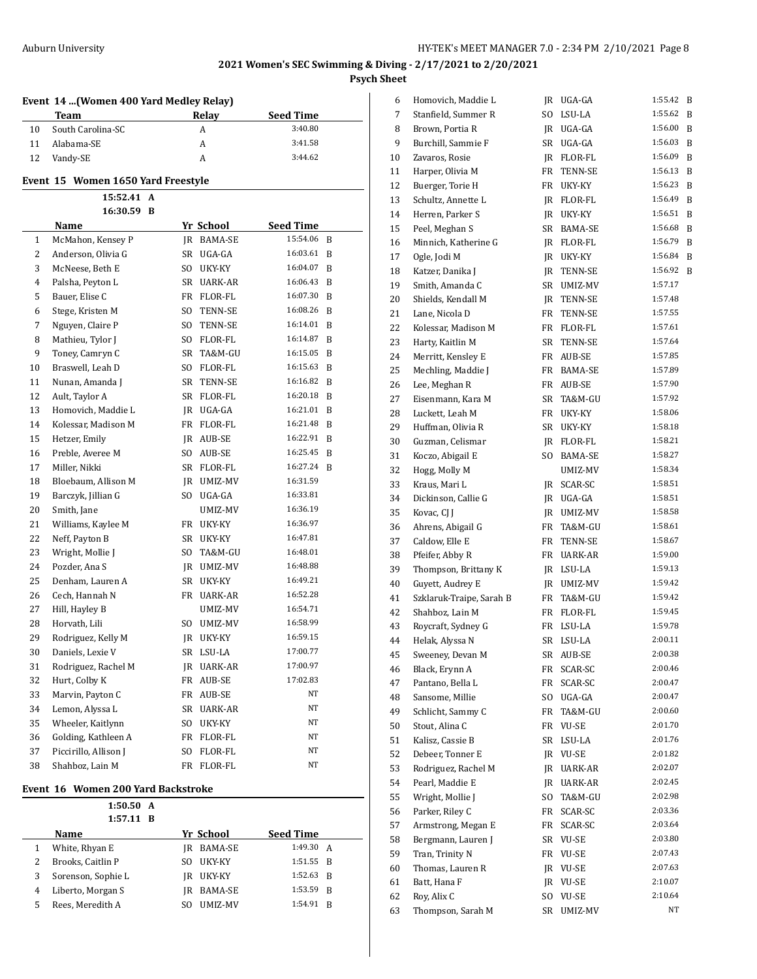|    | Event 14 (Women 400 Yard Medley Relay) |      |            |                  |              |  |  |
|----|----------------------------------------|------|------------|------------------|--------------|--|--|
|    | <b>Team</b>                            |      | Relay      | Seed Time        |              |  |  |
| 10 | South Carolina-SC                      |      | A          | 3:40.80          |              |  |  |
| 11 | Alabama-SE                             |      | A          | 3:41.58          |              |  |  |
| 12 | Vandy-SE                               |      | A          | 3:44.62          |              |  |  |
|    | Event 15 Women 1650 Yard Freestyle     |      |            |                  |              |  |  |
|    | 15:52.41 A                             |      |            |                  |              |  |  |
|    | 16:30.59 B                             |      |            |                  |              |  |  |
|    | Name                                   |      | Yr School  | <b>Seed Time</b> |              |  |  |
| 1  | McMahon, Kensey P                      |      | JR BAMA-SE | 15:54.06         | B            |  |  |
| 2  | Anderson, Olivia G                     |      | SR UGA-GA  | 16:03.61         | B            |  |  |
| 3  | McNeese, Beth E                        | SO.  | UKY-KY     | 16:04.07         | B            |  |  |
| 4  | Palsha, Peyton L                       |      | SR UARK-AR | 16:06.43         | B            |  |  |
| 5  | Bauer, Elise C                         |      | FR FLOR-FL | 16:07.30         | B            |  |  |
| 6  | Stege, Kristen M                       | SO - | TENN-SE    | 16:08.26         | B            |  |  |
| 7  | Nguyen, Claire P                       | SO.  | TENN-SE    | 16:14.01         | - B          |  |  |
| 8  | Mathieu, Tylor J                       |      | SO FLOR-FL | 16:14.87         | B            |  |  |
| 9  | Toney, Camryn C                        |      | SR TA&M-GU | 16:15.05         | B            |  |  |
| 10 | Braswell, Leah D                       |      | SO FLOR-FL | 16:15.63         | <sup>B</sup> |  |  |
| 11 | Nunan, Amanda J                        |      | SR TENN-SE | 16:16.82         | B            |  |  |
| 12 | Ault, Taylor A                         |      | SR FLOR-FL | 16:20.18         | - B          |  |  |
| 13 | Homovich, Maddie L                     |      | JR UGA-GA  | 16:21.01         | <sup>B</sup> |  |  |
| 14 | Kolessar, Madison M                    |      | FR FLOR-FL | 16:21.48         | B            |  |  |
| 15 | Hetzer, Emily                          |      | IR AUB-SE  | 16:22.91         | B            |  |  |
| 16 | Preble, Averee M                       |      | SO AUB-SE  | 16:25.45         | B            |  |  |
| 17 | Miller, Nikki                          |      | SR FLOR-FL | 16:27.24         | - B          |  |  |
| 18 | Bloebaum, Allison M                    |      | JR UMIZ-MV | 16:31.59         |              |  |  |
| 19 | Barczyk, Jillian G                     |      | SO UGA-GA  | 16:33.81         |              |  |  |
| 20 | Smith, Jane                            |      | UMIZ-MV    | 16:36.19         |              |  |  |
| 21 | Williams, Kaylee M                     |      | FR UKY-KY  | 16:36.97         |              |  |  |
| 22 | Neff, Payton B                         |      | SR UKY-KY  | 16:47.81         |              |  |  |
| 23 | Wright, Mollie J                       |      | SO TA&M-GU | 16:48.01         |              |  |  |
| 24 | Pozder, Ana S                          |      | JR UMIZ-MV | 16:48.88         |              |  |  |
| 25 | Denham, Lauren A                       |      | SR UKY-KY  | 16:49.21         |              |  |  |
| 26 | Cech, Hannah N                         |      | FR UARK-AR | 16:52.28         |              |  |  |
| 27 | Hill, Hayley B                         |      | UMIZ-MV    | 16:54.71         |              |  |  |
| 28 | Horvath, Lili                          | SO   | UMIZ-MV    | 16:58.99         |              |  |  |
| 29 | Rodriguez, Kelly M                     |      | IR UKY-KY  | 16:59.15         |              |  |  |
| 30 | Daniels, Lexie V                       |      | SR LSU-LA  | 17:00.77         |              |  |  |
| 31 | Rodriguez, Rachel M                    | JR   | UARK-AR    | 17:00.97         |              |  |  |
| 32 | Hurt, Colby K                          | FR   | AUB-SE     | 17:02.83         |              |  |  |
| 33 | Marvin, Payton C                       | FR   | AUB-SE     | ΝT               |              |  |  |
| 34 | Lemon, Alyssa L                        | SR   | UARK-AR    | ΝT               |              |  |  |
| 35 | Wheeler, Kaitlynn                      | SO.  | UKY-KY     | ΝT               |              |  |  |
| 36 | Golding, Kathleen A                    | FR   | FLOR-FL    | ΝT               |              |  |  |
| 37 | Piccirillo, Allison J                  | SO.  | FLOR-FL    | NΤ               |              |  |  |
| 38 | Shahboz, Lain M                        | FR   | FLOR-FL    | ΝT               |              |  |  |
|    |                                        |      |            |                  |              |  |  |

### **Event 16 Women 200 Yard Backstroke**

L

|   | 1:50.50 A<br>$1:57.11$ B |     |                |                  |              |
|---|--------------------------|-----|----------------|------------------|--------------|
|   | <b>Name</b>              |     | Yr School      | <b>Seed Time</b> |              |
|   | White, Rhyan E           | IR  | <b>BAMA-SE</b> | 1:49.30 A        |              |
| 2 | Brooks, Caitlin P        | SO. | UKY-KY         | $1:51.55$ R      |              |
| 3 | Sorenson, Sophie L       | IR  | UKY-KY         | 1:52.63          | B            |
| 4 | Liberto, Morgan S        | IR  | BAMA-SE        | 1:53.59          | <sup>B</sup> |
| 5 | Rees, Meredith A         | SO. | UMIZ-MV        | 1:54.91          | B            |

| 6  | Homovich, Maddie L       | JR  | UGA-GA         | 1:55.42 | B |
|----|--------------------------|-----|----------------|---------|---|
| 7  | Stanfield, Summer R      | SO  | LSU-LA         | 1:55.62 | B |
| 8  | Brown, Portia R          | JR  | UGA-GA         | 1:56.00 | B |
| 9  | Burchill, Sammie F       | SR  | UGA-GA         | 1:56.03 | B |
| 10 | Zavaros, Rosie           | JR  | FLOR-FL        | 1:56.09 | B |
| 11 | Harper, Olivia M         | FR  | TENN-SE        | 1:56.13 | B |
| 12 | Buerger, Torie H         | FR  |                | 1:56.23 | B |
|    |                          |     | UKY-KY         | 1:56.49 |   |
| 13 | Schultz, Annette L       | JR  | FLOR-FL        |         | B |
| 14 | Herren, Parker S         | JR  | UKY-KY         | 1:56.51 | B |
| 15 | Peel, Meghan S           | SR  | BAMA-SE        | 1:56.68 | B |
| 16 | Minnich, Katherine G     | JR  | FLOR-FL        | 1:56.79 | B |
| 17 | Ogle, Jodi M             | JR  | UKY-KY         | 1:56.84 | B |
| 18 | Katzer, Danika J         | JR  | TENN-SE        | 1:56.92 | B |
| 19 | Smith, Amanda C          | SR  | UMIZ-MV        | 1:57.17 |   |
| 20 | Shields, Kendall M       | JR  | TENN-SE        | 1:57.48 |   |
| 21 | Lane, Nicola D           | FR  | TENN-SE        | 1:57.55 |   |
| 22 | Kolessar, Madison M      | FR  | FLOR-FL        | 1:57.61 |   |
| 23 | Harty, Kaitlin M         | SR  | TENN-SE        | 1:57.64 |   |
| 24 | Merritt, Kensley E       | FR  | AUB-SE         | 1:57.85 |   |
| 25 | Mechling, Maddie J       | FR  | <b>BAMA-SE</b> | 1:57.89 |   |
| 26 | Lee, Meghan R            | FR  | AUB-SE         | 1:57.90 |   |
| 27 | Eisenmann, Kara M        | SR  | TA&M-GU        | 1:57.92 |   |
| 28 | Luckett, Leah M          | FR  | UKY-KY         | 1:58.06 |   |
| 29 | Huffman, Olivia R        | SR  | UKY-KY         | 1:58.18 |   |
| 30 | Guzman, Celismar         | JR  | FLOR-FL        | 1:58.21 |   |
| 31 | Koczo, Abigail E         | SO. | BAMA-SE        | 1:58.27 |   |
|    |                          |     |                | 1:58.34 |   |
| 32 | Hogg, Molly M            |     | UMIZ-MV        | 1:58.51 |   |
| 33 | Kraus, Mari L            | JR  | SCAR-SC        |         |   |
| 34 | Dickinson, Callie G      | JR  | UGA-GA         | 1:58.51 |   |
| 35 | Kovac, CJ J              | JR  | UMIZ-MV        | 1:58.58 |   |
| 36 | Ahrens, Abigail G        | FR  | TA&M-GU        | 1:58.61 |   |
| 37 | Caldow, Elle E           | FR  | TENN-SE        | 1:58.67 |   |
| 38 | Pfeifer, Abby R          | FR  | UARK-AR        | 1:59.00 |   |
| 39 | Thompson, Brittany K     | JR  | LSU-LA         | 1:59.13 |   |
| 40 | Guyett, Audrey E         | JR  | UMIZ-MV        | 1:59.42 |   |
| 41 | Szklaruk-Traipe, Sarah B | FR  | TA&M-GU        | 1:59.42 |   |
| 42 | Shahboz, Lain M          | FR  | FLOR-FL        | 1:59.45 |   |
| 43 | Roycraft, Sydney G       | FR  | LSU-LA         | 1:59.78 |   |
| 44 | Helak, Alyssa N          | SR  | LSU-LA         | 2:00.11 |   |
| 45 | Sweeney, Devan M         | SR  | AUB-SE         | 2:00.38 |   |
| 46 | Black, Erynn A           | FR  | SCAR-SC        | 2:00.46 |   |
| 47 | Pantano, Bella L         | FR  | SCAR-SC        | 2:00.47 |   |
| 48 | Sansome, Millie          | SO  | UGA-GA         | 2:00.47 |   |
| 49 | Schlicht, Sammy C        | FR  | TA&M-GU        | 2:00.60 |   |
| 50 | Stout, Alina C           | FR  | VU-SE          | 2:01.70 |   |
| 51 | Kalisz, Cassie B         | SR  | LSU-LA         | 2:01.76 |   |
| 52 | Debeer, Tonner E         | JR  | VU-SE          | 2:01.82 |   |
| 53 | Rodriguez, Rachel M      | JR  | UARK-AR        | 2:02.07 |   |
| 54 | Pearl, Maddie E          | JR  | UARK-AR        | 2:02.45 |   |
| 55 | Wright, Mollie J         | SO  | TA&M-GU        | 2:02.98 |   |
| 56 | Parker, Riley C          | FR  | SCAR-SC        | 2:03.36 |   |
| 57 | Armstrong, Megan E       | FR  | SCAR-SC        | 2:03.64 |   |
| 58 | Bergmann, Lauren J       | SR  | VU-SE          | 2:03.80 |   |
| 59 | Tran, Trinity N          | FR  | $\,$ VU-SE     | 2:07.43 |   |
|    |                          |     |                | 2:07.63 |   |
| 60 | Thomas, Lauren R         | JR  | VU-SE          |         |   |
| 61 | Batt, Hana F             | JR  | VU-SE          | 2:10.07 |   |
| 62 | Roy, Alix C              | SO  | VU-SE          | 2:10.64 |   |
| 63 | Thompson, Sarah M        | SR  | UMIZ-MV        | NΤ      |   |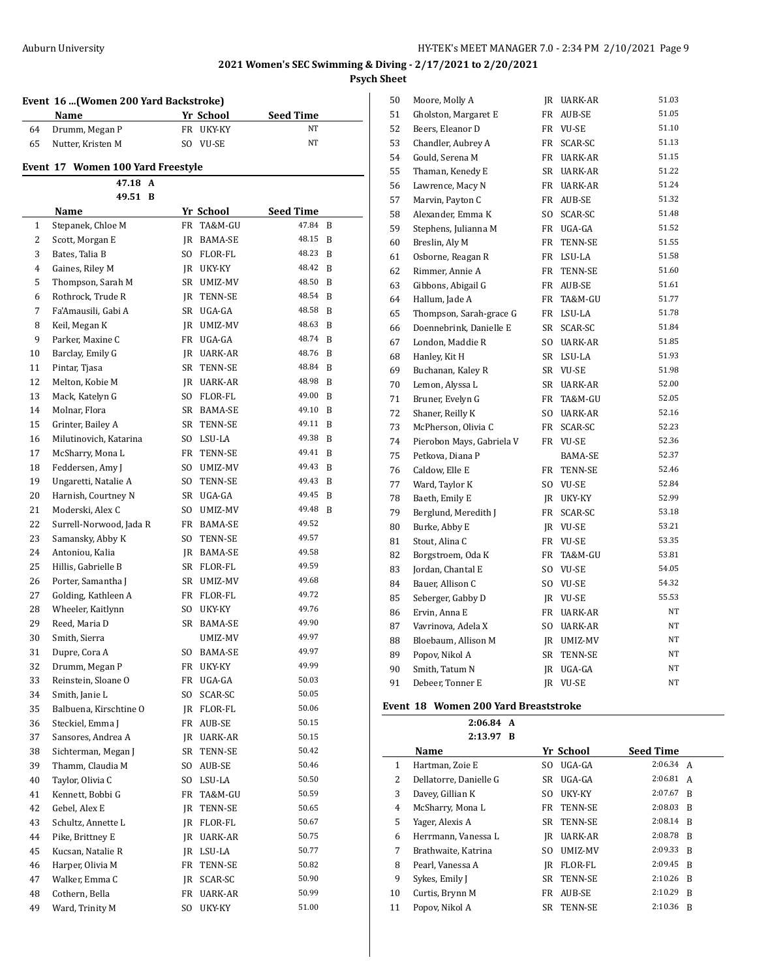## **Event 16 ...(Women 200 Yard Backstroke)**

|    | Name              | Yr School | <b>Seed Time</b> |
|----|-------------------|-----------|------------------|
|    | 64 Drumm, Megan P | FR UKY-KY | NT               |
| 65 | Nutter, Kristen M | SO VU-SE  | NT               |

## **Event 17 Women 100 Yard Freestyle**

| 47.18 A                                       |             |
|-----------------------------------------------|-------------|
| 49.51 B                                       |             |
| Name<br>Yr School                             | Seed Time   |
| Stepanek, Chloe M<br>TA&M-GU<br>1<br>FR       | 47.84<br>B  |
| 2<br>Scott, Morgan E<br>IR BAMA-SE            | 48.15<br>B  |
| 3<br>Bates, Talia B<br>SO FLOR-FL             | 48.23<br>B  |
| 4<br>Gaines, Riley M<br>JR UKY-KY             | 48.42<br>B  |
| 5<br>Thompson, Sarah M<br>SR UMIZ-MV          | 48.50<br>B  |
| Rothrock, Trude R<br>JR TENN-SE<br>6          | 48.54<br>B  |
| Fa'Amausili, Gabi A<br>SR UGA-GA<br>7         | 48.58<br>B  |
| Keil, Megan K<br>8<br>JR UMIZ-MV              | 48.63<br>B  |
| 9<br>Parker, Maxine C<br>FR UGA-GA            | 48.74<br>B  |
| Barclay, Emily G<br>10<br>JR UARK-AR          | 48.76<br>B  |
| 11<br>Pintar, Tjasa<br>SR TENN-SE             | 48.84<br>B  |
| Melton, Kobie M<br>12<br>JR UARK-AR           | 48.98<br>B  |
| 13<br>Mack, Katelyn G<br>SO FLOR-FL           | 49.00<br>B  |
| Molnar, Flora<br>14<br>SR BAMA-SE             | 49.10<br>B  |
| 15<br>Grinter, Bailey A<br>SR TENN-SE         | 49.11<br>B  |
| Milutinovich, Katarina<br>16<br>SO LSU-LA     | 49.38<br>B  |
| 17<br>McSharry, Mona L<br>FR<br>TENN-SE       | 49.41<br>B  |
| Feddersen, Amy J<br>18<br>SO<br>UMIZ-MV       | 49.43<br>B  |
| 19<br>Ungaretti, Natalie A<br>SO<br>TENN-SE   | 49.43<br>B  |
| 20<br>Harnish, Courtney N<br>SR UGA-GA        | 49.45<br>B  |
| 21<br>Moderski, Alex C<br>SO -<br>UMIZ-MV     | 49.48<br>-B |
| 22<br>Surrell-Norwood, Jada R<br>FR BAMA-SE   | 49.52       |
| 23<br>Samansky, Abby K<br>SO TENN-SE          | 49.57       |
| 24<br>Antoniou, Kalia<br>JR BAMA-SE           | 49.58       |
| 25<br>Hillis, Gabrielle B<br>SR FLOR-FL       | 49.59       |
| 26<br>Porter, Samantha J<br>SR UMIZ-MV        | 49.68       |
| 27<br>Golding, Kathleen A<br>FR FLOR-FL       | 49.72       |
| 28<br>Wheeler, Kaitlynn<br>SO UKY-KY          | 49.76       |
| 29<br>Reed, Maria D<br>SR BAMA-SE             | 49.90       |
| 30<br>Smith, Sierra<br>UMIZ-MV                | 49.97       |
| 31<br>Dupre, Cora A<br>SO BAMA-SE             | 49.97       |
| 32<br>Drumm, Megan P<br>FR UKY-KY             | 49.99       |
| 33<br>Reinstein, Sloane O<br>FR<br>UGA-GA     | 50.03       |
| 34<br>Smith, Janie L<br>SO.<br>SCAR-SC        | 50.05       |
| 35<br>Balbuena, Kirschtine O<br>JR<br>FLOR-FL | 50.06       |
| 36<br>Steckiel, Emma J<br>FR<br>AUB-SE        | 50.15       |
| Sansores, Andrea A<br>37<br>JR UARK-AR        | 50.15       |
| Sichterman, Megan J<br>38<br>SR<br>TENN-SE    | 50.42       |
| 39<br>Thamm, Claudia M<br>SO.<br>AUB-SE       | 50.46       |
| 40<br>Taylor, Olivia C<br>SO.<br>LSU-LA       | 50.50       |
| Kennett, Bobbi G<br>41<br>FR<br>TA&M-GU       | 50.59       |
| 42<br>Gebel, Alex E<br>JR<br>TENN-SE          | 50.65       |
| 43<br>Schultz, Annette L<br>JR<br>FLOR-FL     | 50.67       |
| Pike, Brittney E<br>44<br>UARK-AR<br>JR       | 50.75       |
| 45<br>Kucsan, Natalie R<br>LSU-LA<br>JR       | 50.77       |
| 46<br>Harper, Olivia M<br>FR<br>TENN-SE       | 50.82       |
| 47<br>Walker, Emma C<br>JR<br>SCAR-SC         | 50.90       |
| Cothern, Bella<br>48<br>FR<br>UARK-AR         | 50.99       |
| 49<br>Ward, Trinity M<br>SO.<br>UKY-KY        | 51.00       |

| 50 | Moore, Molly A            | JR        | UARK-AR        | 51.03     |
|----|---------------------------|-----------|----------------|-----------|
| 51 | Gholston, Margaret E      | FR        | AUB-SE         | 51.05     |
| 52 | Beers, Eleanor D          | FR        | <b>VU-SE</b>   | 51.10     |
| 53 | Chandler, Aubrey A        | FR        | SCAR-SC        | 51.13     |
| 54 | Gould, Serena M           | FR        | UARK-AR        | 51.15     |
| 55 | Thaman, Kenedy E          | SR        | <b>UARK-AR</b> | 51.22     |
| 56 | Lawrence, Macy N          | FR        | <b>UARK-AR</b> | 51.24     |
| 57 | Marvin, Payton C          | FR        | AUB-SE         | 51.32     |
| 58 | Alexander, Emma K         | SO.       | SCAR-SC        | 51.48     |
| 59 | Stephens, Julianna M      | FR        | UGA-GA         | 51.52     |
| 60 | Breslin, Aly M            | FR        | <b>TENN-SE</b> | 51.55     |
| 61 | Osborne, Reagan R         | FR        | LSU-LA         | 51.58     |
| 62 | Rimmer, Annie A           | FR        | TENN-SE        | 51.60     |
| 63 | Gibbons, Abigail G        | FR        | AUB-SE         | 51.61     |
| 64 | Hallum, Jade A            | FR        | TA&M-GU        | 51.77     |
| 65 | Thompson, Sarah-grace G   | FR        | LSU-LA         | 51.78     |
| 66 | Doennebrink, Danielle E   | SR        | SCAR-SC        | 51.84     |
| 67 | London, Maddie R          | SO.       | UARK-AR        | 51.85     |
| 68 | Hanley, Kit H             | SR        | LSU-LA         | 51.93     |
| 69 | Buchanan, Kaley R         |           | SR VU-SE       | 51.98     |
| 70 | Lemon, Alyssa L           | SR        | UARK-AR        | 52.00     |
| 71 | Bruner, Evelyn G          | FR        | TA&M-GU        | 52.05     |
| 72 | Shaner, Reilly K          | SO.       | <b>UARK-AR</b> | 52.16     |
| 73 | McPherson, Olivia C       | FR        | SCAR-SC        | 52.23     |
| 74 | Pierobon Mays, Gabriela V |           | FR VU-SE       | 52.36     |
| 75 | Petkova, Diana P          |           | <b>BAMA-SE</b> | 52.37     |
| 76 | Caldow, Elle E            | FR        | TENN-SE        | 52.46     |
| 77 | Ward, Taylor K            | SO        | VU-SE          | 52.84     |
| 78 | Baeth, Emily E            | IR        | UKY-KY         | 52.99     |
| 79 | Berglund, Meredith J      | FR        | SCAR-SC        | 53.18     |
| 80 | Burke, Abby E             | IR        | <b>VU-SE</b>   | 53.21     |
| 81 | Stout, Alina C            | FR        | <b>VU-SE</b>   | 53.35     |
| 82 | Borgstroem, Oda K         | FR        | TA&M-GU        | 53.81     |
| 83 | Jordan, Chantal E         | SO.       | <b>VU-SE</b>   | 54.05     |
| 84 | Bauer, Allison C          | SO.       | <b>VU-SE</b>   | 54.32     |
| 85 | Seberger, Gabby D         |           | JR VU-SE       | 55.53     |
| 86 | Ervin, Anna E             | FR        | UARK-AR        | NT        |
| 87 | Vavrinova, Adela X        | SO.       | UARK-AR        | NT        |
| 88 | Bloebaum, Allison M       | IR        | UMIZ-MV        | NT        |
| 89 | Popov, Nikol A            | SR        | <b>TENN-SE</b> | <b>NT</b> |
| 90 | Smith, Tatum N            | JR        | UGA-GA         | NT        |
| 91 | Debeer, Tonner E          | <b>IR</b> | <b>VU-SE</b>   | NΤ        |
|    |                           |           |                |           |

### **Event 18 Women 200 Yard Breaststroke**

|    | 2:06.84 A<br>2:13.97 B |     |                |                  |                |
|----|------------------------|-----|----------------|------------------|----------------|
|    | Name                   |     | Yr School      | <b>Seed Time</b> |                |
| 1  | Hartman, Zoie E        | SO. | UGA-GA         | 2:06.34 A        |                |
| 2  | Dellatorre. Danielle G | SR  | UGA-GA         | 2:06.81          | A              |
| 3  | Davey, Gillian K       | SO. | UKY-KY         | $2:07.67$ R      |                |
| 4  | McSharry, Mona L       | FR  | <b>TENN-SE</b> | 2:08.03          | -R             |
| 5  | Yager, Alexis A        |     | SR TENN-SE     | 2:08.14          | $\overline{B}$ |
| 6  | Herrmann, Vanessa L    | IR  | UARK-AR        | $2:08.78$ R      |                |
| 7  | Brathwaite, Katrina    | SO. | UMIZ-MV        | 2:09.33          | -R             |
| 8  | Pearl, Vanessa A       | IR  | FLOR-FL        | 2:09.45          | <sup>R</sup>   |
| 9  | Sykes, Emily J         | SR  | TENN-SE        | 2:10.26          | - B            |
| 10 | Curtis, Brynn M        | FR  | AUB-SE         | 2:10.29          | - B            |
| 11 | Popov, Nikol A         | SR  | TENN-SE        | 2:10.36          | R              |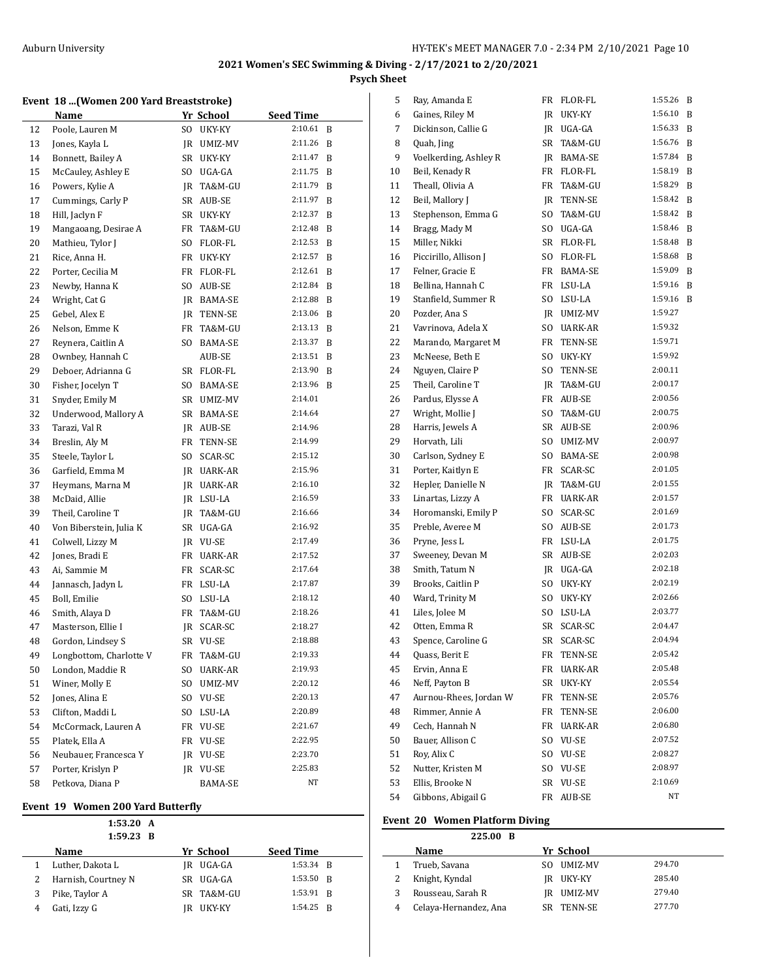#### **Event 18 ...(Women 200 Yard Breaststroke)**

|    | Name                    |     | Yr School    | <b>Seed Time</b> |   |
|----|-------------------------|-----|--------------|------------------|---|
| 12 | Poole, Lauren M         | SO. | UKY-KY       | 2:10.61          | B |
| 13 | Jones, Kayla L          | JR  | UMIZ-MV      | 2:11.26          | B |
| 14 | Bonnett, Bailey A       | SR  | UKY-KY       | 2:11.47          | B |
| 15 | McCauley, Ashley E      | SO. | UGA-GA       | 2:11.75          | B |
| 16 | Powers, Kylie A         | JR  | TA&M-GU      | 2:11.79          | B |
| 17 | Cummings, Carly P       | SR  | AUB-SE       | 2:11.97          | B |
| 18 | Hill, Jaclyn F          | SR  | UKY-KY       | 2:12.37          | B |
| 19 | Mangaoang, Desirae A    | FR  | TA&M-GU      | 2:12.48          | B |
| 20 | Mathieu, Tylor J        | SO. | FLOR-FL      | 2:12.53          | B |
| 21 | Rice, Anna H.           | FR  | UKY-KY       | 2:12.57          | B |
| 22 | Porter, Cecilia M       | FR  | FLOR-FL      | 2:12.61          | B |
| 23 | Newby, Hanna K          | SO  | AUB-SE       | 2:12.84          | B |
| 24 | Wright, Cat G           |     | JR BAMA-SE   | 2:12.88          | B |
| 25 | Gebel, Alex E           |     | JR TENN-SE   | 2:13.06          | B |
| 26 | Nelson, Emme K          | FR  | TA&M-GU      | 2:13.13          | B |
| 27 | Reynera, Caitlin A      | SO. | BAMA-SE      | 2:13.37          | B |
| 28 | Ownbey, Hannah C        |     | AUB-SE       | 2:13.51          | B |
| 29 | Deboer, Adrianna G      |     | SR FLOR-FL   | 2:13.90          | B |
| 30 | Fisher, Jocelyn T       | SO  | BAMA-SE      | 2:13.96          | B |
| 31 | Snyder, Emily M         | SR  | UMIZ-MV      | 2:14.01          |   |
| 32 | Underwood, Mallory A    | SR  | BAMA-SE      | 2:14.64          |   |
| 33 | Tarazi, Val R           | JR  | AUB-SE       | 2:14.96          |   |
| 34 | Breslin, Aly M          | FR  | TENN-SE      | 2:14.99          |   |
| 35 | Steele, Taylor L        | SO. | SCAR-SC      | 2:15.12          |   |
| 36 | Garfield, Emma M        | JR. | UARK-AR      | 2:15.96          |   |
| 37 | Heymans, Marna M        |     | JR UARK-AR   | 2:16.10          |   |
| 38 | McDaid, Allie           |     | JR LSU-LA    | 2:16.59          |   |
| 39 | Theil, Caroline T       | JR  | TA&M-GU      | 2:16.66          |   |
| 40 | Von Biberstein, Julia K |     | SR UGA-GA    | 2:16.92          |   |
| 41 | Colwell, Lizzy M        |     | JR VU-SE     | 2:17.49          |   |
| 42 | Jones, Bradi E          | FR  | UARK-AR      | 2:17.52          |   |
| 43 | Ai, Sammie M            | FR  | SCAR-SC      | 2:17.64          |   |
| 44 | Jannasch, Jadyn L       | FR  | LSU-LA       | 2:17.87          |   |
| 45 | Boll, Emilie            | SO  | LSU-LA       | 2:18.12          |   |
| 46 | Smith, Alaya D          | FR  | TA&M-GU      | 2:18.26          |   |
| 47 | Masterson, Ellie I      | JR  | SCAR-SC      | 2:18.27          |   |
| 48 | Gordon, Lindsey S       | SR  | <b>VU-SE</b> | 2:18.88          |   |
| 49 | Longbottom, Charlotte V | FR  | TA&M-GU      | 2:19.33          |   |
| 50 | London, Maddie R        | SO  | UARK-AR      | 2:19.93          |   |
| 51 | Winer, Molly E          | SO. | UMIZ-MV      | 2:20.12          |   |
| 52 | Jones, Alina E          | SO. | VU-SE        | 2:20.13          |   |
| 53 | Clifton, Maddi L        | SO. | LSU-LA       | 2:20.89          |   |
| 54 | McCormack, Lauren A     | FR  | VU-SE        | 2:21.67          |   |
| 55 | Platek, Ella A          | FR  | VU-SE        | 2:22.95          |   |
| 56 | Neubauer, Francesca Y   | JR  | VU-SE        | 2:23.70          |   |
| 57 | Porter, Krislyn P       |     | IR VU-SE     | 2:25.83          |   |
| 58 | Petkova, Diana P        |     | BAMA-SE      | NT               |   |

#### **Event 19 Women 200 Yard Butterfly**

|   | 1:53.20 A<br>$1:59.23$ B |    |            |                  |  |
|---|--------------------------|----|------------|------------------|--|
|   | Name                     |    | Yr School  | <b>Seed Time</b> |  |
|   | Luther, Dakota L         |    | IR UGA-GA  | 1:53.34 R        |  |
| 2 | Harnish, Courtney N      |    | SR UGA-GA  | $1:53.50$ R      |  |
| 3 | Pike, Taylor A           |    | SR TA&M-GU | 1:53.91 B        |  |
|   | Gati, Izzy G             | IR | UKY-KY     | $1:54.25$ R      |  |

| 5  | Ray, Amanda E          | FR  | FLOR-FL    | 1:55.26 | B |
|----|------------------------|-----|------------|---------|---|
| 6  | Gaines, Riley M        | JR  | UKY-KY     | 1:56.10 | B |
| 7  | Dickinson, Callie G    | JR  | UGA-GA     | 1:56.33 | B |
| 8  | Quah, Jing             | SR  | TA&M-GU    | 1:56.76 | B |
| 9  | Voelkerding, Ashley R  | JR  | BAMA-SE    | 1:57.84 | B |
| 10 | Beil, Kenady R         | FR  | FLOR-FL    | 1:58.19 | B |
| 11 | Theall, Olivia A       | FR  | TA&M-GU    | 1:58.29 | B |
| 12 | Beil, Mallory J        | JR  | TENN-SE    | 1:58.42 | B |
| 13 | Stephenson, Emma G     | SO. | TA&M-GU    | 1:58.42 | B |
| 14 | Bragg, Mady M          | SO. | UGA-GA     | 1:58.46 | B |
| 15 | Miller, Nikki          | SR  | FLOR-FL    | 1:58.48 | B |
| 16 | Piccirillo, Allison J  | SO. | FLOR-FL    | 1:58.68 | B |
| 17 | Felner, Gracie E       | FR  | BAMA-SE    | 1:59.09 | B |
| 18 | Bellina, Hannah C      | FR  | LSU-LA     | 1:59.16 | B |
| 19 | Stanfield, Summer R    | SO. | LSU-LA     | 1:59.16 | B |
| 20 | Pozder, Ana S          | JR. | UMIZ-MV    | 1:59.27 |   |
| 21 | Vavrinova, Adela X     | SO. | UARK-AR    | 1:59.32 |   |
| 22 | Marando, Margaret M    | FR  | TENN-SE    | 1:59.71 |   |
| 23 | McNeese, Beth E        | SO. | UKY-KY     | 1:59.92 |   |
| 24 | Nguyen, Claire P       | SO. | TENN-SE    | 2:00.11 |   |
| 25 | Theil, Caroline T      | JR  | TA&M-GU    | 2:00.17 |   |
| 26 | Pardus, Elysse A       | FR  | AUB-SE     | 2:00.56 |   |
| 27 | Wright, Mollie J       | SO. | TA&M-GU    | 2:00.75 |   |
| 28 | Harris, Jewels A       | SR  | AUB-SE     | 2:00.96 |   |
| 29 | Horvath, Lili          | SO. | UMIZ-MV    | 2:00.97 |   |
| 30 | Carlson, Sydney E      | SO. | BAMA-SE    | 2:00.98 |   |
| 31 | Porter, Kaitlyn E      |     | FR SCAR-SC | 2:01.05 |   |
| 32 | Hepler, Danielle N     | JR. | TA&M-GU    | 2:01.55 |   |
| 33 | Linartas, Lizzy A      | FR  | UARK-AR    | 2:01.57 |   |
| 34 | Horomanski, Emily P    | SO. | SCAR-SC    | 2:01.69 |   |
| 35 | Preble, Averee M       | SO. | AUB-SE     | 2:01.73 |   |
| 36 | Pryne, Jess L          | FR  | LSU-LA     | 2:01.75 |   |
| 37 | Sweeney, Devan M       | SR  | AUB-SE     | 2:02.03 |   |
| 38 | Smith, Tatum N         | JR  | UGA-GA     | 2:02.18 |   |
| 39 | Brooks, Caitlin P      | SO. | UKY-KY     | 2:02.19 |   |
| 40 | Ward, Trinity M        | SO  | UKY-KY     | 2:02.66 |   |
| 41 | Liles, Jolee M         | SO. | LSU-LA     | 2:03.77 |   |
| 42 | Otten, Emma R          | SR  | SCAR-SC    | 2:04.47 |   |
| 43 | Spence, Caroline G     | SR  | SCAR-SC    | 2:04.94 |   |
| 44 | Quass, Berit E         | FR  | TENN-SE    | 2:05.42 |   |
| 45 | Ervin, Anna E          | FR  | UARK-AR    | 2:05.48 |   |
| 46 | Neff, Payton B         | SR  | UKY-KY     | 2:05.54 |   |
| 47 | Aurnou-Rhees, Jordan W | FR  | TENN-SE    | 2:05.76 |   |
| 48 | Rimmer, Annie A        | FR  | TENN-SE    | 2:06.00 |   |
| 49 | Cech, Hannah N         | FR  | UARK-AR    | 2:06.80 |   |
| 50 | Bauer, Allison C       | SO. | VU-SE      | 2:07.52 |   |
| 51 | Roy, Alix C            | SO. | VU-SE      | 2:08.27 |   |
| 52 | Nutter, Kristen M      | SO. | VU-SE      | 2:08.97 |   |
| 53 | Ellis, Brooke N        | SR  | VU-SE      | 2:10.69 |   |
| 54 | Gibbons, Abigail G     | FR  | AUB-SE     | NΤ      |   |
|    |                        |     |            |         |   |

### **Event 20 Women Platform Diving**

|   | 225.00 B              |     |            |        |
|---|-----------------------|-----|------------|--------|
|   | Name                  |     | Yr School  |        |
|   | Trueb, Savana         | SO. | UMIZ-MV    | 294.70 |
|   | Knight, Kyndal        |     | IR UKY-KY  | 285.40 |
| 3 | Rousseau, Sarah R     |     | IR UMIZ-MV | 279.40 |
| 4 | Celaya-Hernandez, Ana |     | SR TENN-SE | 277.70 |